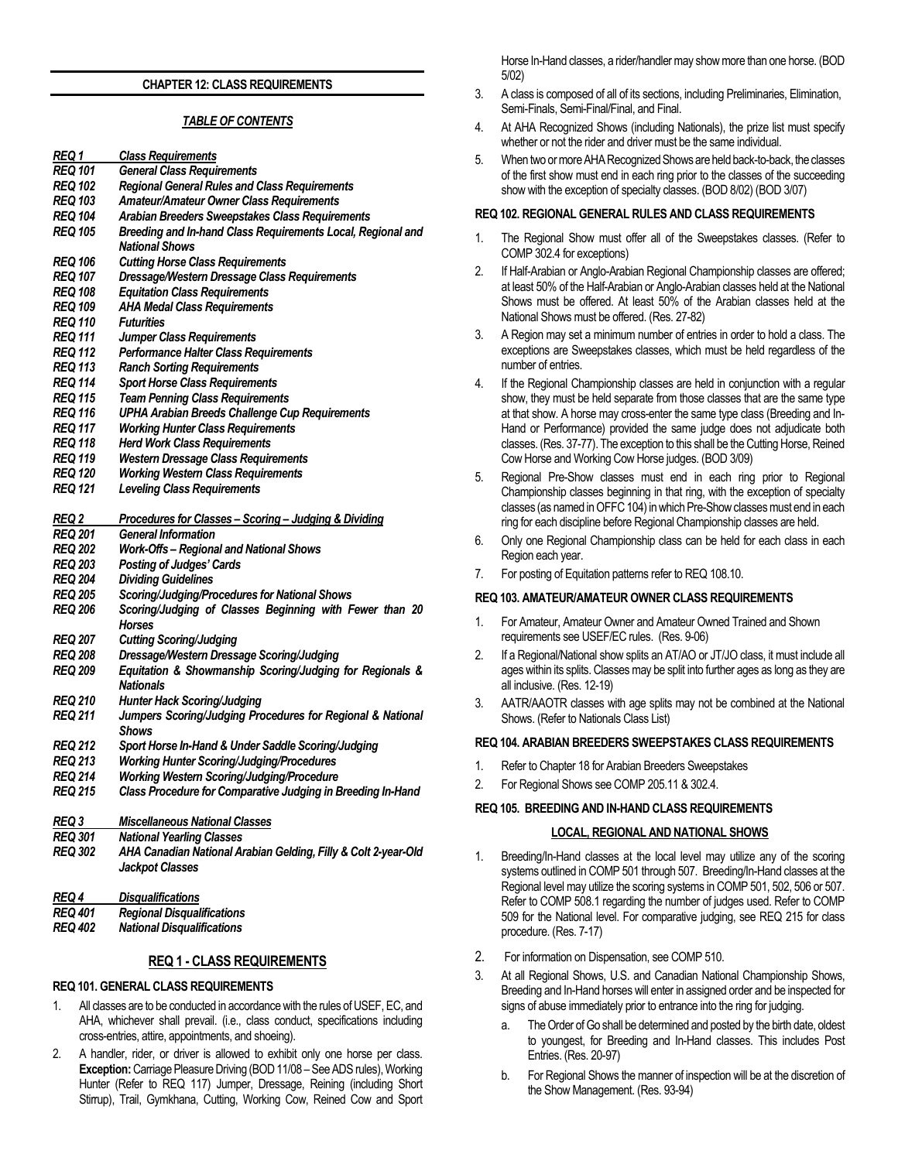#### **CHAPTER 12: CLASS REQUIREMENTS**

# *TABLE OF CONTENTS*

| REQ 1          | <b>Class Requirements</b>                                      |
|----------------|----------------------------------------------------------------|
| REQ 101        | <b>General Class Requirements</b>                              |
| <b>REQ 102</b> | <b>Regional General Rules and Class Requirements</b>           |
| <b>REQ 103</b> | <b>Amateur/Amateur Owner Class Requirements</b>                |
| <b>REQ 104</b> | Arabian Breeders Sweepstakes Class Requirements                |
| <b>REQ 105</b> | Breeding and In-hand Class Requirements Local, Regional and    |
|                | <b>National Shows</b>                                          |
| <b>REQ 106</b> | <b>Cutting Horse Class Requirements</b>                        |
| <b>REQ 107</b> | Dressage/Western Dressage Class Requirements                   |
| <b>REQ 108</b> | <b>Equitation Class Requirements</b>                           |
| <b>REQ 109</b> | <b>AHA Medal Class Requirements</b>                            |
| <b>REQ 110</b> | <b>Futurities</b>                                              |
| <b>REQ 111</b> | <b>Jumper Class Requirements</b>                               |
| <b>REQ 112</b> | <b>Performance Halter Class Requirements</b>                   |
| <b>REQ 113</b> | <b>Ranch Sorting Requirements</b>                              |
| <b>REQ 114</b> | <b>Sport Horse Class Requirements</b>                          |
| <b>REQ 115</b> | <b>Team Penning Class Requirements</b>                         |
| <b>REQ 116</b> | <b>UPHA Arabian Breeds Challenge Cup Requirements</b>          |
| <b>REQ 117</b> | <b>Working Hunter Class Requirements</b>                       |
| <b>REQ 118</b> | <b>Herd Work Class Requirements</b>                            |
| REQ 119        | <b>Western Dressage Class Requirements</b>                     |
| <b>REQ 120</b> | <b>Working Western Class Requirements</b>                      |
| <b>REQ 121</b> | <b>Leveling Class Requirements</b>                             |
|                |                                                                |
| <b>REQ 2</b>   | Procedures for Classes - Scoring - Judging & Dividing          |
| <b>REQ 201</b> | <b>General Information</b>                                     |
| <b>REQ 202</b> | <b>Work-Offs-Regional and National Shows</b>                   |
| <b>REQ 203</b> | <b>Posting of Judges' Cards</b>                                |
| <b>REQ 204</b> | <b>Dividing Guidelines</b>                                     |
| <b>REQ 205</b> | Scoring/Judging/Procedures for National Shows                  |
| <b>REQ 206</b> | Scoring/Judging of Classes Beginning with Fewer than 20        |
|                | Horses                                                         |
| <b>REQ 207</b> | <b>Cutting Scoring/Judging</b>                                 |
| <b>REQ 208</b> | Dressage/Western Dressage Scoring/Judging                      |
| <b>REQ 209</b> | Equitation & Showmanship Scoring/Judging for Regionals &       |
|                | <b>Nationals</b>                                               |
| <b>REQ 210</b> | <b>Hunter Hack Scoring/Judging</b>                             |
| <b>REQ 211</b> | Jumpers Scoring/Judging Procedures for Regional & National     |
|                | <b>Shows</b>                                                   |
| <b>REQ 212</b> | Sport Horse In-Hand & Under Saddle Scoring/Judging             |
| <b>REQ 213</b> | <b>Working Hunter Scoring/Judging/Procedures</b>               |
| <b>REQ 214</b> | <b>Working Western Scoring/Judging/Procedure</b>               |
| <b>REQ 215</b> | Class Procedure for Comparative Judging in Breeding In-Hand    |
|                |                                                                |
| REQ 3          | <b>Miscellaneous National Classes</b>                          |
| <b>REQ 301</b> | <b>National Yearling Classes</b>                               |
| <b>REQ 302</b> | AHA Canadian National Arabian Gelding, Filly & Colt 2-year-Old |
|                | <b>Jackpot Classes</b>                                         |
|                |                                                                |
| <u>REQ 4</u>   | <b>Disqualifications</b>                                       |
| <b>REQ 401</b> | <b>Regional Disqualifications</b>                              |
|                |                                                                |

*REQ 402 National Disqualifications*

#### **REQ 1 - CLASS REQUIREMENTS**

#### **REQ 101. GENERAL CLASS REQUIREMENTS**

- 1. All classes are to be conducted in accordance with the rules of USEF, EC, and AHA, whichever shall prevail. (i.e., class conduct, specifications including cross-entries, attire, appointments, and shoeing).
- 2. A handler, rider, or driver is allowed to exhibit only one horse per class. **Exception:**Carriage Pleasure Driving (BOD 11/08 – See ADS rules), Working Hunter (Refer to REQ 117) Jumper, Dressage, Reining (including Short Stirrup), Trail, Gymkhana, Cutting, Working Cow, Reined Cow and Sport

Horse In-Hand classes, a rider/handler may show more than one horse. (BOD 5/02)

- 3. A class is composed of all of its sections, including Preliminaries, Elimination, Semi-Finals, Semi-Final/Final, and Final.
- 4. At AHA Recognized Shows (including Nationals), the prize list must specify whether or not the rider and driver must be the same individual.
- 5. When two or more AHA Recognized Shows are held back-to-back, the classes of the first show must end in each ring prior to the classes of the succeeding show with the exception of specialty classes. (BOD 8/02) (BOD 3/07)

#### **REQ 102. REGIONAL GENERAL RULES AND CLASS REQUIREMENTS**

- 1. The Regional Show must offer all of the Sweepstakes classes. (Refer to COMP 302.4 for exceptions)
- 2. If Half-Arabian or Anglo-Arabian Regional Championship classes are offered; at least 50% of the Half-Arabian or Anglo-Arabian classes held at the National Shows must be offered. At least 50% of the Arabian classes held at the National Shows must be offered. (Res. 27-82)
- 3. A Region may set a minimum number of entries in order to hold a class. The exceptions are Sweepstakes classes, which must be held regardless of the number of entries.
- 4. If the Regional Championship classes are held in conjunction with a regular show, they must be held separate from those classes that are the same type at that show. A horse may cross-enter the same type class (Breeding and In-Hand or Performance) provided the same judge does not adjudicate both classes. (Res. 37-77). The exception to this shall be the Cutting Horse, Reined Cow Horse and Working Cow Horse judges. (BOD 3/09)
- 5. Regional Pre-Show classes must end in each ring prior to Regional Championship classes beginning in that ring, with the exception of specialty classes (as named in OFFC 104) in which Pre-Show classes must end in each ring for each discipline before Regional Championship classes are held.
- 6. Only one Regional Championship class can be held for each class in each Region each year.
- 7. For posting of Equitation patterns refer to REQ 108.10.

#### **REQ 103. AMATEUR/AMATEUR OWNER CLASS REQUIREMENTS**

- 1. For Amateur, Amateur Owner and Amateur Owned Trained and Shown requirements see USEF/EC rules. (Res. 9-06)
- 2. If a Regional/National show splits an AT/AO or JT/JO class, it must include all ages within its splits. Classes may be split into further ages as long as they are all inclusive. (Res. 12-19)
- 3. AATR/AAOTR classes with age splits may not be combined at the National Shows. (Refer to Nationals Class List)

#### **REQ 104. ARABIAN BREEDERS SWEEPSTAKES CLASS REQUIREMENTS**

- 1. Refer to Chapter 18 for Arabian Breeders Sweepstakes
- 2. For Regional Shows see COMP 205.11 & 302.4.

#### **REQ 105. BREEDING AND IN-HAND CLASS REQUIREMENTS**

#### **LOCAL, REGIONAL AND NATIONAL SHOWS**

- 1. Breeding/In-Hand classes at the local level may utilize any of the scoring systems outlined in COMP 501 through 507. Breeding/In-Hand classes at the Regional level may utilize the scoring systems in COMP 501, 502, 506 or 507. Refer to COMP 508.1 regarding the number of judges used. Refer to COMP 509 for the National level. For comparative judging, see REQ 215 for class procedure. (Res. 7-17)
- 2. For information on Dispensation, see COMP 510.
- 3. At all Regional Shows, U.S. and Canadian National Championship Shows, Breeding and In-Hand horses will enter in assigned order and be inspected for signs of abuse immediately prior to entrance into the ring for judging.
	- a. The Order of Go shall be determined and posted by the birth date, oldest to youngest, for Breeding and In-Hand classes. This includes Post Entries. (Res. 20-97)
	- For Regional Shows the manner of inspection will be at the discretion of the Show Management. (Res. 93-94)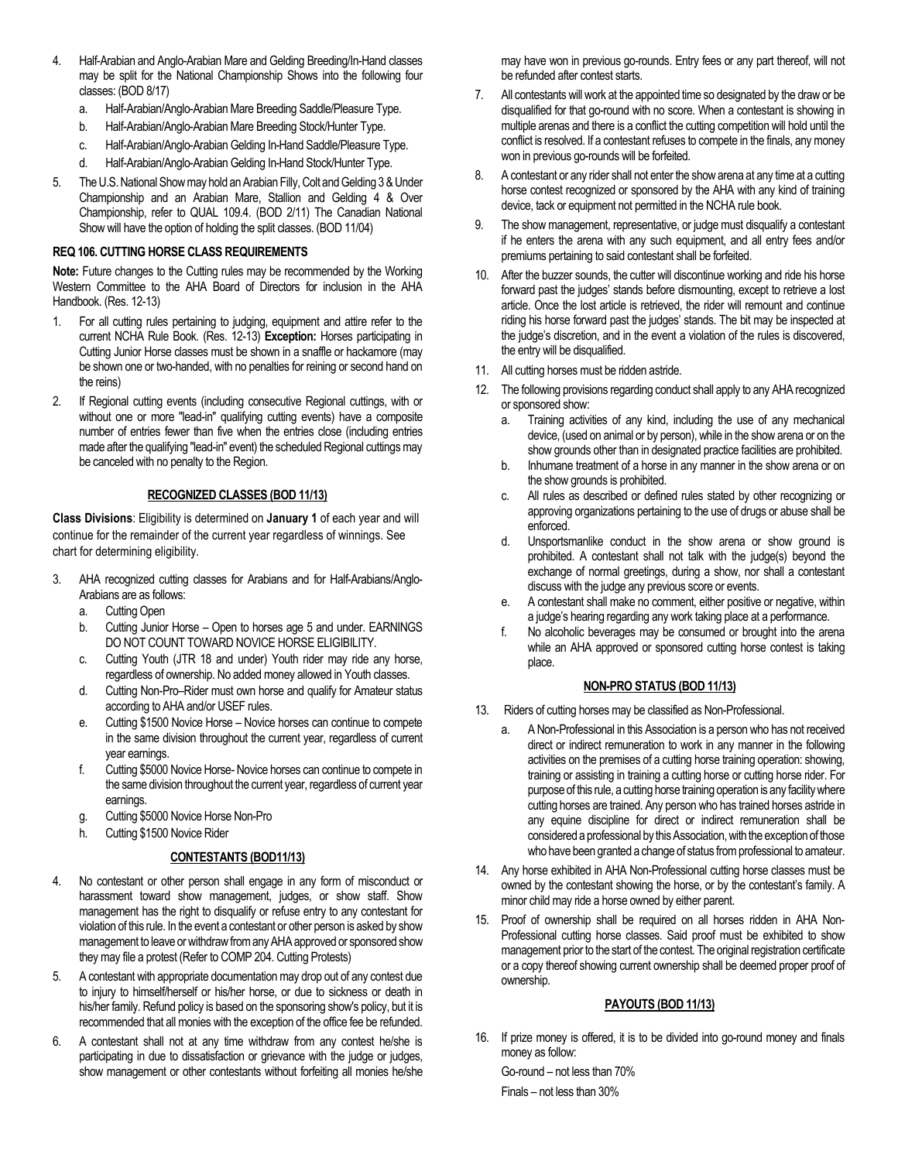- 4. Half-Arabian and Anglo-Arabian Mare and Gelding Breeding/In-Hand classes may be split for the National Championship Shows into the following four classes: (BOD 8/17)
	- a. Half-Arabian/Anglo-Arabian Mare Breeding Saddle/Pleasure Type.
	- b. Half-Arabian/Anglo-Arabian Mare Breeding Stock/Hunter Type.
	- c. Half-Arabian/Anglo-Arabian Gelding In-Hand Saddle/Pleasure Type.
	- d. Half-Arabian/Anglo-Arabian Gelding In-Hand Stock/Hunter Type.
- 5. The U.S. National Show may hold an Arabian Filly, Colt and Gelding 3 & Under Championship and an Arabian Mare, Stallion and Gelding 4 & Over Championship, refer to QUAL 109.4. (BOD 2/11) The Canadian National Show will have the option of holding the split classes. (BOD 11/04)

# **REQ 106. CUTTING HORSE CLASS REQUIREMENTS**

**Note:** Future changes to the Cutting rules may be recommended by the Working Western Committee to the AHA Board of Directors for inclusion in the AHA Handbook. (Res. 12-13)

- 1. For all cutting rules pertaining to judging, equipment and attire refer to the current NCHA Rule Book. (Res. 12-13) **Exception:** Horses participating in Cutting Junior Horse classes must be shown in a snaffle or hackamore (may be shown one or two-handed, with no penalties for reining or second hand on the reins)
- 2. If Regional cutting events (including consecutive Regional cuttings, with or without one or more "lead-in" qualifying cutting events) have a composite number of entries fewer than five when the entries close (including entries made after the qualifying "lead-in" event) the scheduled Regional cuttings may be canceled with no penalty to the Region.

# **RECOGNIZED CLASSES (BOD 11/13)**

**Class Divisions**: Eligibility is determined on **January 1** of each year and will continue for the remainder of the current year regardless of winnings. See chart for determining eligibility.

- 3. AHA recognized cutting classes for Arabians and for Half-Arabians/Anglo-Arabians are as follows:
	- a. Cutting Open
	- b. Cutting Junior Horse Open to horses age 5 and under. EARNINGS DO NOT COUNT TOWARD NOVICE HORSE ELIGIBILITY.
	- c. Cutting Youth (JTR 18 and under) Youth rider may ride any horse, regardless of ownership. No added money allowed in Youth classes.
	- d. Cutting Non-Pro–Rider must own horse and qualify for Amateur status according to AHA and/or USEF rules.
	- e. Cutting \$1500 Novice Horse Novice horses can continue to compete in the same division throughout the current year, regardless of current year earnings.
	- f. Cutting \$5000 Novice Horse- Novice horses can continue to compete in the same division throughout the current year, regardless of current year earnings.
	- g. Cutting \$5000 Novice Horse Non-Pro
	- h. Cutting \$1500 Novice Rider

# **CONTESTANTS (BOD11/13)**

- 4. No contestant or other person shall engage in any form of misconduct or harassment toward show management, judges, or show staff. Show management has the right to disqualify or refuse entry to any contestant for violation of this rule. In the event a contestant or other person is asked by show management to leave or withdraw from any AHA approved or sponsored show they may file a protest (Refer to COMP 204. Cutting Protests)
- 5. A contestant with appropriate documentation may drop out of any contest due to injury to himself/herself or his/her horse, or due to sickness or death in his/her family. Refund policy is based on the sponsoring show's policy, but it is recommended that all monies with the exception of the office fee be refunded.
- 6. A contestant shall not at any time withdraw from any contest he/she is participating in due to dissatisfaction or grievance with the judge or judges, show management or other contestants without forfeiting all monies he/she

may have won in previous go-rounds. Entry fees or any part thereof, will not be refunded after contest starts.

- 7. All contestants will work at the appointed time so designated by the draw or be disqualified for that go-round with no score. When a contestant is showing in multiple arenas and there is a conflict the cutting competition will hold until the conflict is resolved. If a contestant refuses to compete in the finals, any money won in previous go-rounds will be forfeited.
- 8. A contestant or any rider shall not enter the show arena at any time at a cutting horse contest recognized or sponsored by the AHA with any kind of training device, tack or equipment not permitted in the NCHA rule book.
- 9. The show management, representative, or judge must disqualify a contestant if he enters the arena with any such equipment, and all entry fees and/or premiums pertaining to said contestant shall be forfeited.
- 10. After the buzzer sounds, the cutter will discontinue working and ride his horse forward past the judges' stands before dismounting, except to retrieve a lost article. Once the lost article is retrieved, the rider will remount and continue riding his horse forward past the judges' stands. The bit may be inspected at the judge's discretion, and in the event a violation of the rules is discovered, the entry will be disqualified.
- 11. All cutting horses must be ridden astride.
- 12. The following provisions regarding conduct shall apply to any AHA recognized or sponsored show:
	- a. Training activities of any kind, including the use of any mechanical device, (used on animal or by person), while in the show arena or on the show grounds other than in designated practice facilities are prohibited.
	- b. Inhumane treatment of a horse in any manner in the show arena or on the show grounds is prohibited.
	- c. All rules as described or defined rules stated by other recognizing or approving organizations pertaining to the use of drugs or abuse shall be enforced.
	- d. Unsportsmanlike conduct in the show arena or show ground is prohibited. A contestant shall not talk with the judge(s) beyond the exchange of normal greetings, during a show, nor shall a contestant discuss with the judge any previous score or events.
	- e. A contestant shall make no comment, either positive or negative, within a judge's hearing regarding any work taking place at a performance.
	- f. No alcoholic beverages may be consumed or brought into the arena while an AHA approved or sponsored cutting horse contest is taking place.

# **NON-PRO STATUS (BOD 11/13)**

- 13. Riders of cutting horses may be classified as Non-Professional.
	- a. A Non-Professional in this Association is a person who has not received direct or indirect remuneration to work in any manner in the following activities on the premises of a cutting horse training operation: showing, training or assisting in training a cutting horse or cutting horse rider. For purpose of this rule, a cutting horse training operation is any facility where cutting horses are trained. Any person who has trained horses astride in any equine discipline for direct or indirect remuneration shall be considered a professional by this Association, with the exception of those who have been granted a change of status from professional to amateur.
- 14. Any horse exhibited in AHA Non-Professional cutting horse classes must be owned by the contestant showing the horse, or by the contestant's family. A minor child may ride a horse owned by either parent.
- 15. Proof of ownership shall be required on all horses ridden in AHA Non-Professional cutting horse classes. Said proof must be exhibited to show management prior to the start of the contest. The original registration certificate or a copy thereof showing current ownership shall be deemed proper proof of ownership.

# **PAYOUTS (BOD 11/13)**

16. If prize money is offered, it is to be divided into go-round money and finals money as follow:

Go-round – not less than 70% Finals – not less than 30%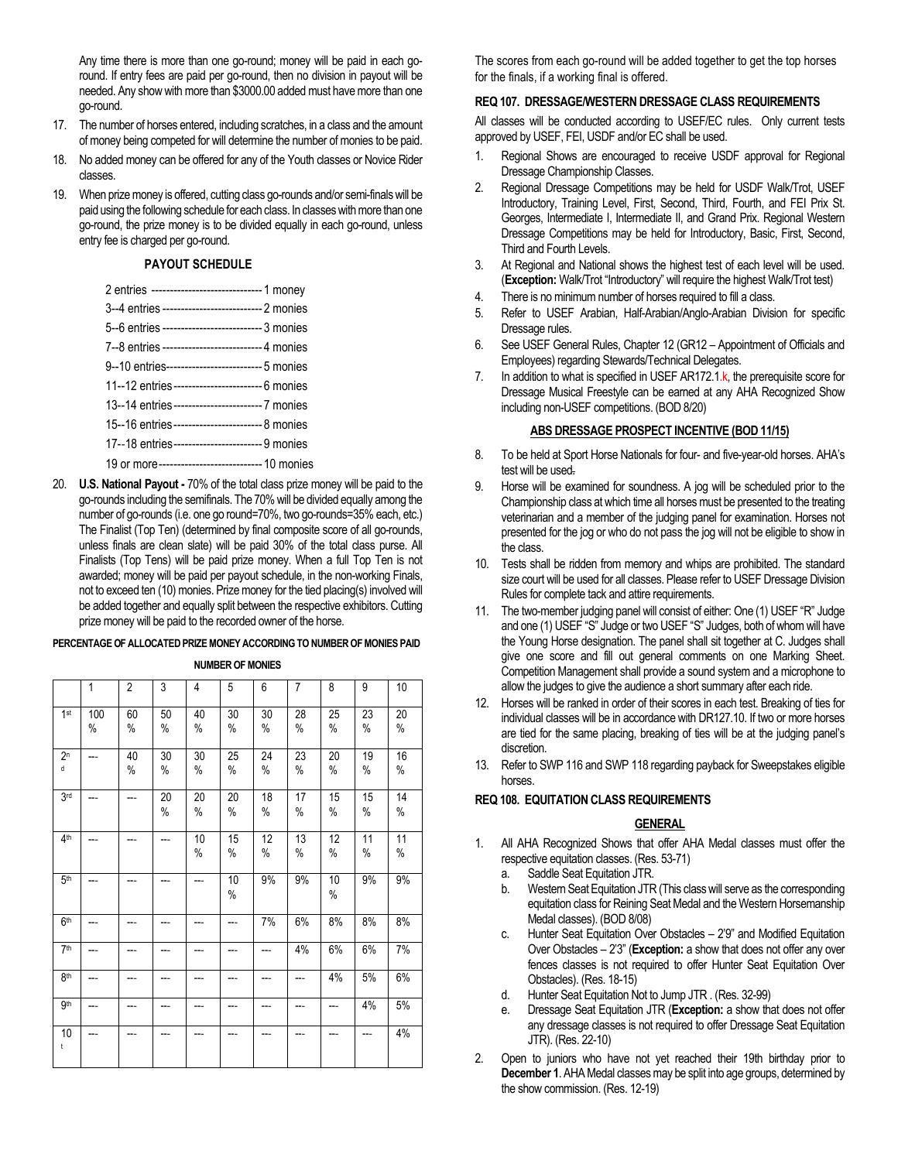Any time there is more than one go-round; money will be paid in each goround. If entry fees are paid per go-round, then no division in payout will be needed. Any show with more than \$3000.00 added must have more than one go-round.

- 17. The number of horses entered, including scratches, in a class and the amount of money being competed for will determine the number of monies to be paid.
- 18. No added money can be offered for any of the Youth classes or Novice Rider classes.
- 19. When prize money is offered, cutting class go-rounds and/or semi-finals will be paid using the following schedule for each class. In classes with more than one go-round, the prize money is to be divided equally in each go-round, unless entry fee is charged per go-round.

#### **PAYOUT SCHEDULE**

| 2 entries ----------------------------- 1 money    |
|----------------------------------------------------|
| 3--4 entries ---------------------------  2 monies |
| 5--6 entries --------------------------- 3 monies  |
| 7--8 entries --------------------------4 monies    |
| 9--10 entries-------------------------- 5 monies   |
| 11--12 entries ------------------------ 6 monies   |
| 13--14 entries ------------------------- 7 monies  |
| 15--16 entries------------------------ 8 monies    |
| 17--18 entries------------------------ 9 monies    |
| 19 or more--------------------------- 10 monies    |
|                                                    |

20. **U.S. National Payout -** 70% of the total class prize money will be paid to the go-rounds including the semifinals. The 70% will be divided equally among the number of go-rounds (i.e. one go round=70%, two go-rounds=35% each, etc.) The Finalist (Top Ten) (determined by final composite score of all go-rounds, unless finals are clean slate) will be paid 30% of the total class purse. All Finalists (Top Tens) will be paid prize money. When a full Top Ten is not awarded; money will be paid per payout schedule, in the non-working Finals, not to exceed ten (10) monies. Prize money for the tied placing(s) involved will be added together and equally split between the respective exhibitors. Cutting prize money will be paid to the recorded owner of the horse.

#### **PERCENTAGE OF ALLOCATED PRIZE MONEY ACCORDING TO NUMBER OF MONIES PAID**

#### **NUMBER OF MONIES**

|                     | 1        | $\overline{2}$ | 3          | 4       | 5       | 6          | 7          | 8          | 9       | 10         |
|---------------------|----------|----------------|------------|---------|---------|------------|------------|------------|---------|------------|
| 1 <sup>st</sup>     | 100<br>% | 60<br>%        | 50<br>$\%$ | 40<br>% | 30<br>% | 30<br>%    | 28<br>$\%$ | 25<br>$\%$ | 23<br>% | 20<br>$\%$ |
| 2 <sup>n</sup><br>d | ---      | 40<br>$\%$     | 30<br>%    | 30<br>% | 25<br>% | 24<br>$\%$ | 23<br>$\%$ | 20<br>%    | 19<br>% | 16<br>$\%$ |
| 3 <sub>rd</sub>     | ---      | ---            | 20<br>$\%$ | 20<br>% | 20<br>% | 18<br>%    | 17<br>%    | 15<br>$\%$ | 15<br>% | 14<br>%    |
| 4th                 | ---      | ---            | ---        | 10<br>% | 15<br>% | 12<br>%    | 13<br>%    | 12<br>$\%$ | 11<br>% | 11<br>%    |
| 5 <sup>th</sup>     | ---      | ---            |            | ---     | 10<br>% | 9%         | 9%         | 10<br>%    | 9%      | 9%         |
| 6 <sup>th</sup>     | ---      | ---            |            | ---     | ---     | 7%         | 6%         | 8%         | 8%      | 8%         |
| 7 <sup>th</sup>     | ---      | ---            | ---        | ---     | ---     | ---        | 4%         | 6%         | 6%      | 7%         |
| <b>8th</b>          |          | ---            |            |         |         | ---        | ---        | 4%         | 5%      | 6%         |
| gth                 | ---      | ---            |            | ---     |         | ---        | ---        | ---        | 4%      | 5%         |
| 10<br>t             | ---      | ---            |            | ---     |         | ---        | ---        |            | ---     | 4%         |

The scores from each go-round will be added together to get the top horses for the finals, if a working final is offered.

#### **REQ 107. DRESSAGE/WESTERN DRESSAGE CLASS REQUIREMENTS**

All classes will be conducted according to USEF/EC rules. Only current tests approved by USEF, FEI, USDF and/or EC shall be used.

- 1. Regional Shows are encouraged to receive USDF approval for Regional Dressage Championship Classes.
- 2. Regional Dressage Competitions may be held for USDF Walk/Trot, USEF Introductory, Training Level, First, Second, Third, Fourth, and FEI Prix St. Georges, Intermediate I, Intermediate II, and Grand Prix. Regional Western Dressage Competitions may be held for Introductory, Basic, First, Second, Third and Fourth Levels.
- 3. At Regional and National shows the highest test of each level will be used. (**Exception:** Walk/Trot "Introductory" will require the highest Walk/Trot test)
- 4. There is no minimum number of horses required to fill a class.
- 5. Refer to USEF Arabian, Half-Arabian/Anglo-Arabian Division for specific Dressage rules.
- 6. See USEF General Rules, Chapter 12 (GR12 Appointment of Officials and Employees) regarding Stewards/Technical Delegates.
- 7. In addition to what is specified in USEF AR172.1.k, the prerequisite score for Dressage Musical Freestyle can be earned at any AHA Recognized Show including non-USEF competitions. (BOD 8/20)

#### **ABS DRESSAGE PROSPECT INCENTIVE (BOD 11/15)**

- 8. To be held at Sport Horse Nationals for four- and five-year-old horses. AHA's test will be used.
- 9. Horse will be examined for soundness. A jog will be scheduled prior to the Championship class at which time all horses must be presented to the treating veterinarian and a member of the judging panel for examination. Horses not presented for the jog or who do not pass the jog will not be eligible to show in the class.
- 10. Tests shall be ridden from memory and whips are prohibited. The standard size court will be used for all classes. Please refer to USEF Dressage Division Rules for complete tack and attire requirements.
- 11. The two-member judging panel will consist of either: One (1) USEF "R" Judge and one (1) USEF "S" Judge or two USEF "S" Judges, both of whom will have the Young Horse designation. The panel shall sit together at C. Judges shall give one score and fill out general comments on one Marking Sheet. Competition Management shall provide a sound system and a microphone to allow the judges to give the audience a short summary after each ride.
- 12. Horses will be ranked in order of their scores in each test. Breaking of ties for individual classes will be in accordance with DR127.10. If two or more horses are tied for the same placing, breaking of ties will be at the judging panel's discretion.
- 13. Refer to SWP 116 and SWP 118 regarding payback for Sweepstakes eligible horses.

#### **REQ 108. EQUITATION CLASS REQUIREMENTS**

# **GENERAL**

- 1. All AHA Recognized Shows that offer AHA Medal classes must offer the respective equitation classes. (Res. 53-71)
	- a. Saddle Seat Equitation JTR.
	- b. Western Seat Equitation JTR (This class will serve as the corresponding equitation class for Reining Seat Medal and the Western Horsemanship Medal classes). (BOD 8/08)
	- c. Hunter Seat Equitation Over Obstacles 2'9" and Modified Equitation Over Obstacles – 2'3" (**Exception:** a show that does not offer any over fences classes is not required to offer Hunter Seat Equitation Over Obstacles). (Res. 18-15)
	- d. Hunter Seat Equitation Not to Jump JTR . (Res. 32-99)
	- e. Dressage Seat Equitation JTR (**Exception:** a show that does not offer any dressage classes is not required to offer Dressage Seat Equitation JTR). (Res. 22-10)
- 2. Open to juniors who have not yet reached their 19th birthday prior to **December 1**. AHA Medal classes may be split into age groups, determined by the show commission. (Res. 12-19)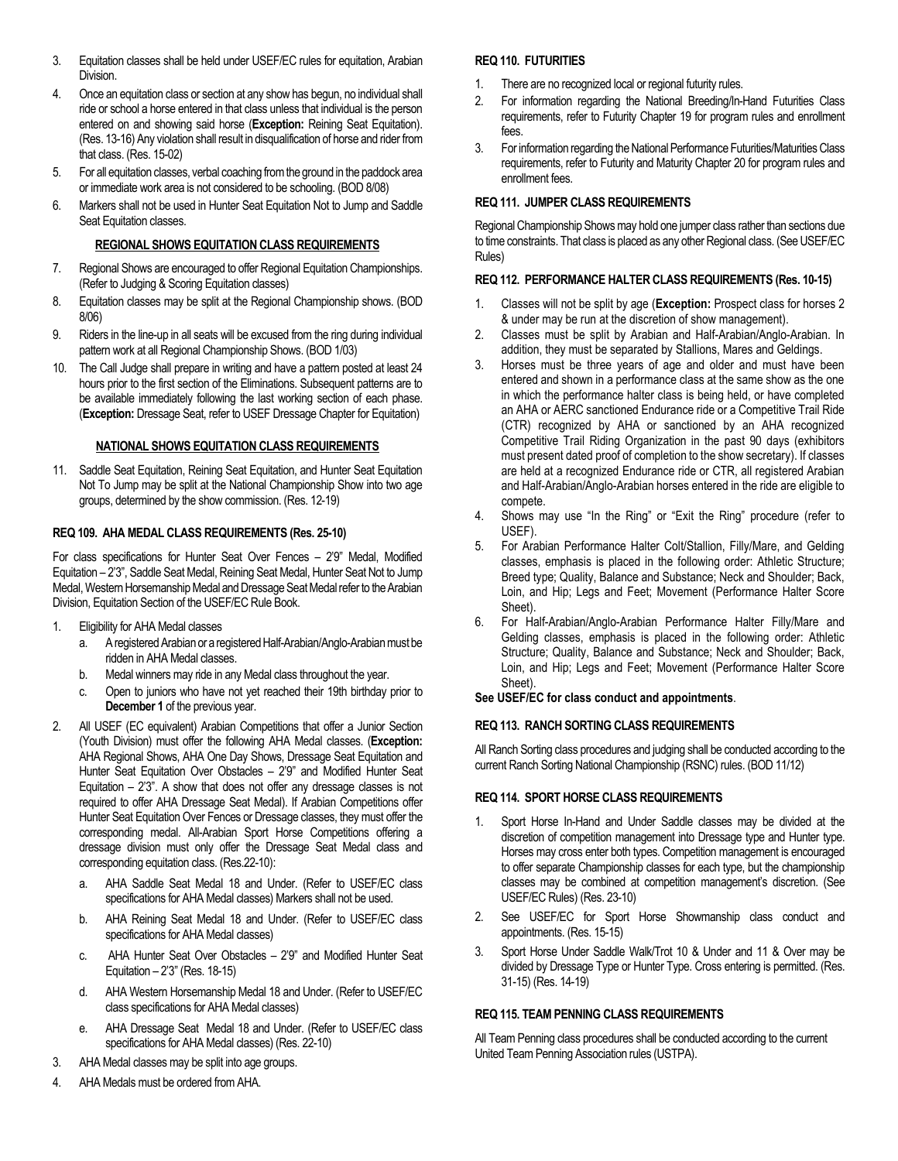- 3. Equitation classes shall be held under USEF/EC rules for equitation, Arabian Division.
- 4. Once an equitation class or section at any show has begun, no individual shall ride or school a horse entered in that class unless that individual is the person entered on and showing said horse (**Exception:** Reining Seat Equitation). (Res. 13-16) Any violation shall result in disqualification of horse and rider from that class. (Res. 15-02)
- 5. For all equitation classes, verbal coaching from the ground in the paddock area or immediate work area is not considered to be schooling. (BOD 8/08)
- 6. Markers shall not be used in Hunter Seat Equitation Not to Jump and Saddle Seat Equitation classes.

# **REGIONAL SHOWS EQUITATION CLASS REQUIREMENTS**

- 7. Regional Shows are encouraged to offer Regional Equitation Championships. (Refer to Judging & Scoring Equitation classes)
- 8. Equitation classes may be split at the Regional Championship shows. (BOD 8/06)
- 9. Riders in the line-up in all seats will be excused from the ring during individual pattern work at all Regional Championship Shows. (BOD 1/03)
- 10. The Call Judge shall prepare in writing and have a pattern posted at least 24 hours prior to the first section of the Eliminations. Subsequent patterns are to be available immediately following the last working section of each phase. (**Exception:** Dressage Seat, refer to USEF Dressage Chapter for Equitation)

# **NATIONAL SHOWS EQUITATION CLASS REQUIREMENTS**

11. Saddle Seat Equitation, Reining Seat Equitation, and Hunter Seat Equitation Not To Jump may be split at the National Championship Show into two age groups, determined by the show commission. (Res. 12-19)

# **REQ 109. AHA MEDAL CLASS REQUIREMENTS (Res. 25-10)**

For class specifications for Hunter Seat Over Fences – 2'9" Medal, Modified Equitation – 2'3", Saddle Seat Medal, Reining Seat Medal, Hunter Seat Not to Jump Medal, Western Horsemanship Medal and Dressage Seat Medalrefer to the Arabian Division, Equitation Section of the USEF/EC Rule Book.

- 1. Eligibility for AHA Medal classes
	- a. A registered Arabian or a registered Half-Arabian/Anglo-Arabian must be ridden in AHA Medal classes.
	- b. Medal winners may ride in any Medal class throughout the year.
	- c. Open to juniors who have not yet reached their 19th birthday prior to **December 1** of the previous year.
- 2. All USEF (EC equivalent) Arabian Competitions that offer a Junior Section (Youth Division) must offer the following AHA Medal classes. (**Exception:** AHA Regional Shows, AHA One Day Shows, Dressage Seat Equitation and Hunter Seat Equitation Over Obstacles – 2'9" and Modified Hunter Seat Equitation  $-2'3''$ . A show that does not offer any dressage classes is not required to offer AHA Dressage Seat Medal). If Arabian Competitions offer Hunter Seat Equitation Over Fences or Dressage classes, they must offer the corresponding medal. All-Arabian Sport Horse Competitions offering a dressage division must only offer the Dressage Seat Medal class and corresponding equitation class. (Res.22-10):
	- a. AHA Saddle Seat Medal 18 and Under. (Refer to USEF/EC class specifications for AHA Medal classes) Markers shall not be used.
	- b. AHA Reining Seat Medal 18 and Under. (Refer to USEF/EC class specifications for AHA Medal classes)
	- c. AHA Hunter Seat Over Obstacles 2'9" and Modified Hunter Seat Equitation – 2'3" (Res. 18-15)
	- d. AHA Western Horsemanship Medal 18 and Under. (Refer to USEF/EC class specifications for AHA Medal classes)
	- e. AHA Dressage Seat Medal 18 and Under. (Refer to USEF/EC class specifications for AHA Medal classes) (Res. 22-10)
- 3. AHA Medal classes may be split into age groups.
- 4. AHA Medals must be ordered from AHA.

# **REQ 110. FUTURITIES**

- There are no recognized local or regional futurity rules.
- 2. For information regarding the National Breeding/In-Hand Futurities Class requirements, refer to Futurity Chapter 19 for program rules and enrollment fees.
- 3. For information regarding the National Performance Futurities/Maturities Class requirements, refer to Futurity and Maturity Chapter 20 for program rules and enrollment fees.

# **REQ 111. JUMPER CLASS REQUIREMENTS**

Regional Championship Shows may hold one jumper class rather than sections due to time constraints. That class is placed as any other Regional class. (See USEF/EC Rules)

#### **REQ 112. PERFORMANCE HALTER CLASS REQUIREMENTS (Res. 10-15)**

- 1. Classes will not be split by age (**Exception:** Prospect class for horses 2 & under may be run at the discretion of show management).
- 2. Classes must be split by Arabian and Half-Arabian/Anglo-Arabian. In addition, they must be separated by Stallions, Mares and Geldings.
- 3. Horses must be three years of age and older and must have been entered and shown in a performance class at the same show as the one in which the performance halter class is being held, or have completed an AHA or AERC sanctioned Endurance ride or a Competitive Trail Ride (CTR) recognized by AHA or sanctioned by an AHA recognized Competitive Trail Riding Organization in the past 90 days (exhibitors must present dated proof of completion to the show secretary). If classes are held at a recognized Endurance ride or CTR, all registered Arabian and Half-Arabian/Anglo-Arabian horses entered in the ride are eligible to compete.
- 4. Shows may use "In the Ring" or "Exit the Ring" procedure (refer to USEF).
- 5. For Arabian Performance Halter Colt/Stallion, Filly/Mare, and Gelding classes, emphasis is placed in the following order: Athletic Structure; Breed type; Quality, Balance and Substance; Neck and Shoulder; Back, Loin, and Hip; Legs and Feet; Movement (Performance Halter Score Sheet).
- 6. For Half-Arabian/Anglo-Arabian Performance Halter Filly/Mare and Gelding classes, emphasis is placed in the following order: Athletic Structure; Quality, Balance and Substance; Neck and Shoulder; Back, Loin, and Hip; Legs and Feet; Movement (Performance Halter Score Sheet).

# **See USEF/EC for class conduct and appointments**.

# **REQ 113. RANCH SORTING CLASS REQUIREMENTS**

All Ranch Sorting class procedures and judging shall be conducted according to the current Ranch Sorting National Championship (RSNC) rules. (BOD 11/12)

# **REQ 114. SPORT HORSE CLASS REQUIREMENTS**

- 1. Sport Horse In-Hand and Under Saddle classes may be divided at the discretion of competition management into Dressage type and Hunter type. Horses may cross enter both types. Competition management is encouraged to offer separate Championship classes for each type, but the championship classes may be combined at competition management's discretion. (See USEF/EC Rules) (Res. 23-10)
- 2. See USEF/EC for Sport Horse Showmanship class conduct and appointments. (Res. 15-15)
- 3. Sport Horse Under Saddle Walk/Trot 10 & Under and 11 & Over may be divided by Dressage Type or Hunter Type. Cross entering is permitted. (Res. 31-15) (Res. 14-19)

# **REQ 115. TEAM PENNING CLASS REQUIREMENTS**

All Team Penning class procedures shall be conducted according to the current United Team Penning Association rules (USTPA).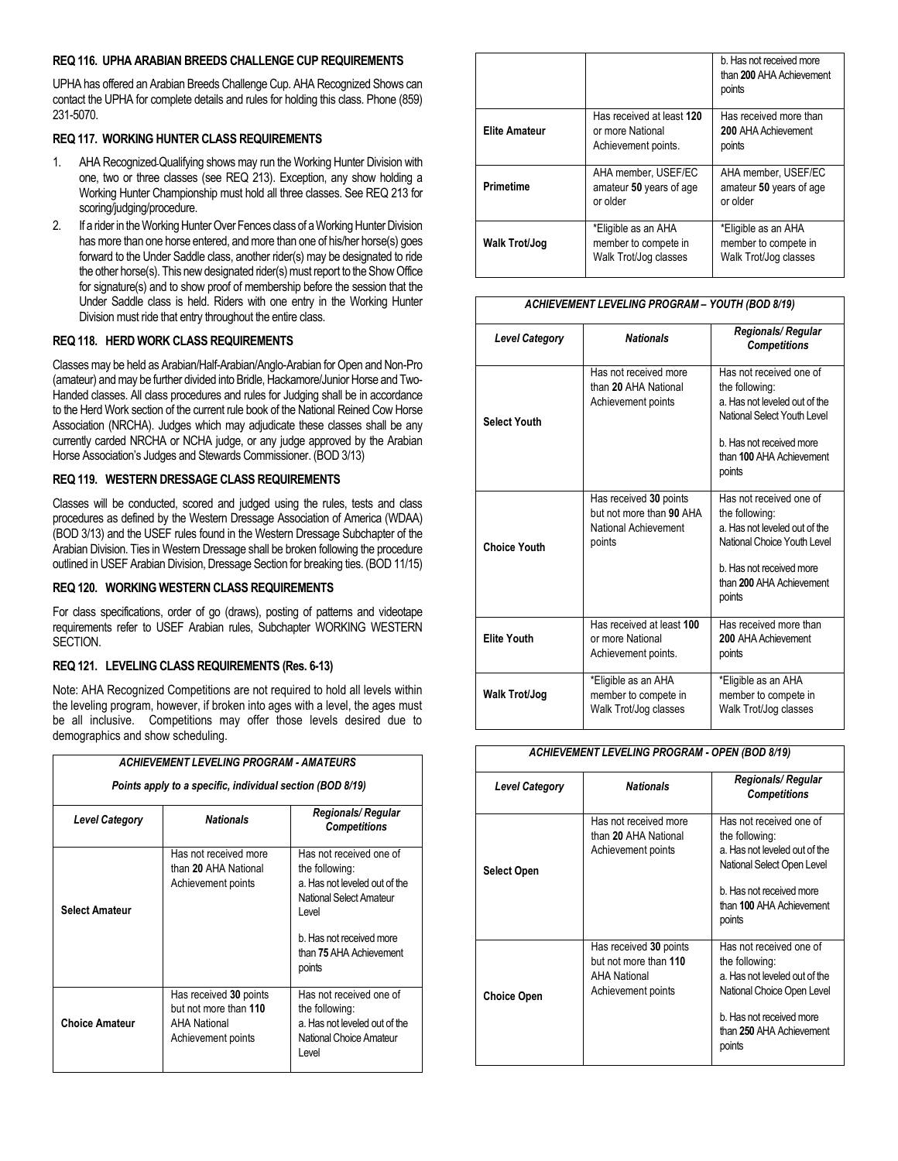#### **REQ 116. UPHA ARABIAN BREEDS CHALLENGE CUP REQUIREMENTS**

UPHA has offered an Arabian Breeds Challenge Cup. AHA Recognized Shows can contact the UPHA for complete details and rules for holding this class. Phone (859) 231-5070.

# **REQ 117. WORKING HUNTER CLASS REQUIREMENTS**

- 1. AHA Recognized Qualifying shows may run the Working Hunter Division with one, two or three classes (see REQ 213). Exception, any show holding a Working Hunter Championship must hold all three classes. See REQ 213 for scoring/judging/procedure.
- 2. If a rider in the Working Hunter Over Fences class of a Working Hunter Division has more than one horse entered, and more than one of his/her horse(s) goes forward to the Under Saddle class, another rider(s) may be designated to ride the other horse(s). This new designated rider(s) must report to the Show Office for signature(s) and to show proof of membership before the session that the Under Saddle class is held. Riders with one entry in the Working Hunter Division must ride that entry throughout the entire class.

# **REQ 118. HERD WORK CLASS REQUIREMENTS**

Classes may be held as Arabian/Half-Arabian/Anglo-Arabian for Open and Non-Pro (amateur) and may be further divided into Bridle, Hackamore/Junior Horse and Two-Handed classes. All class procedures and rules for Judging shall be in accordance to the Herd Work section of the current rule book of the National Reined Cow Horse Association (NRCHA). Judges which may adjudicate these classes shall be any currently carded NRCHA or NCHA judge, or any judge approved by the Arabian Horse Association's Judges and Stewards Commissioner. (BOD 3/13)

# **REQ 119. WESTERN DRESSAGE CLASS REQUIREMENTS**

Classes will be conducted, scored and judged using the rules, tests and class procedures as defined by the Western Dressage Association of America (WDAA) (BOD 3/13) and the USEF rules found in the Western Dressage Subchapter of the Arabian Division. Ties in Western Dressage shall be broken following the procedure outlined in USEF Arabian Division, Dressage Section for breaking ties. (BOD 11/15)

# **REQ 120. WORKING WESTERN CLASS REQUIREMENTS**

For class specifications, order of go (draws), posting of patterns and videotape requirements refer to USEF Arabian rules, Subchapter WORKING WESTERN SECTION.

# **REQ 121. LEVELING CLASS REQUIREMENTS (Res. 6-13)**

Note: AHA Recognized Competitions are not required to hold all levels within the leveling program, however, if broken into ages with a level, the ages must be all inclusive. Competitions may offer those levels desired due to demographics and show scheduling.

| <b>ACHIEVEMENT LEVELING PROGRAM - AMATEURS</b>            |                                                                                       |                                                                                                                                                                                  |  |  |
|-----------------------------------------------------------|---------------------------------------------------------------------------------------|----------------------------------------------------------------------------------------------------------------------------------------------------------------------------------|--|--|
| Points apply to a specific, individual section (BOD 8/19) |                                                                                       |                                                                                                                                                                                  |  |  |
| <b>Nationals</b><br><b>Level Category</b>                 |                                                                                       | <b>Regionals/Regular</b><br><b>Competitions</b>                                                                                                                                  |  |  |
| <b>Select Amateur</b>                                     | Has not received more<br>than 20 AHA National<br>Achievement points                   | Has not received one of<br>the following:<br>a. Has not leveled out of the<br>National Select Amateur<br>I evel<br>b. Has not received more<br>than 75 AHA Achievement<br>points |  |  |
| <b>Choice Amateur</b>                                     | Has received 30 points<br>but not more than 110<br>AHA National<br>Achievement points | Has not received one of<br>the following:<br>a. Has not leveled out of the<br>National Choice Amateur<br>Level                                                                   |  |  |

|                      |                                                                      | b. Has not received more<br>than 200 AHA Achievement<br>points       |
|----------------------|----------------------------------------------------------------------|----------------------------------------------------------------------|
| <b>Elite Amateur</b> | Has received at least 120<br>or more National<br>Achievement points. | Has received more than<br>200 AHA Achievement<br>points              |
| <b>Primetime</b>     | AHA member, USEF/EC<br>amateur 50 years of age<br>or older           | AHA member, USEF/EC<br>amateur 50 years of age<br>or older           |
| <b>Walk Trot/Jog</b> | *Eligible as an AHA<br>member to compete in<br>Walk Trot/Jog classes | *Eligible as an AHA<br>member to compete in<br>Walk Trot/Jog classes |

| <b>Level Category</b> | <b>Nationals</b>                                                                     | Regionals/Regular<br><b>Competitions</b>                                                                                                                                   |
|-----------------------|--------------------------------------------------------------------------------------|----------------------------------------------------------------------------------------------------------------------------------------------------------------------------|
| <b>Select Youth</b>   | Has not received more<br>than 20 AHA National<br>Achievement points                  | Has not received one of<br>the following:<br>a. Has not leveled out of the<br>National Select Youth Level<br>b Has not received more<br>than 100 AHA Achievement<br>points |
| <b>Choice Youth</b>   | Has received 30 points<br>but not more than 90 AHA<br>National Achievement<br>points | Has not received one of<br>the following:<br>a Has not leveled out of the<br>National Choice Youth Level<br>b. Has not received more<br>than 200 AHA Achievement<br>points |
| <b>Elite Youth</b>    | Has received at least 100<br>or more National<br>Achievement points.                 | Has received more than<br>200 AHA Achievement<br>points                                                                                                                    |
| <b>Walk Trot/Jog</b>  | *Eligible as an AHA<br>member to compete in<br>Walk Trot/Jog classes                 | *Eligible as an AHA<br>member to compete in<br>Walk Trot/Jog classes                                                                                                       |

# *ACHIEVEMENT LEVELING PROGRAM - OPEN (BOD 8/19)*

| <b>Level Category</b> | <b>Nationals</b>                                                                             | Regionals/Regular<br><b>Competitions</b>                                                                                                                                   |
|-----------------------|----------------------------------------------------------------------------------------------|----------------------------------------------------------------------------------------------------------------------------------------------------------------------------|
| <b>Select Open</b>    | Has not received more<br>than 20 AHA National<br>Achievement points                          | Has not received one of<br>the following:<br>a. Has not leveled out of the<br>National Select Open Level<br>b. Has not received more<br>than 100 AHA Achievement<br>points |
| <b>Choice Open</b>    | Has received 30 points<br>but not more than 110<br><b>AHA National</b><br>Achievement points | Has not received one of<br>the following:<br>a Has not leveled out of the<br>National Choice Open Level<br>b. Has not received more<br>than 250 AHA Achievement<br>points  |

# *ACHIEVEMENT LEVELING PROGRAM – YOUTH (BOD 8/19)*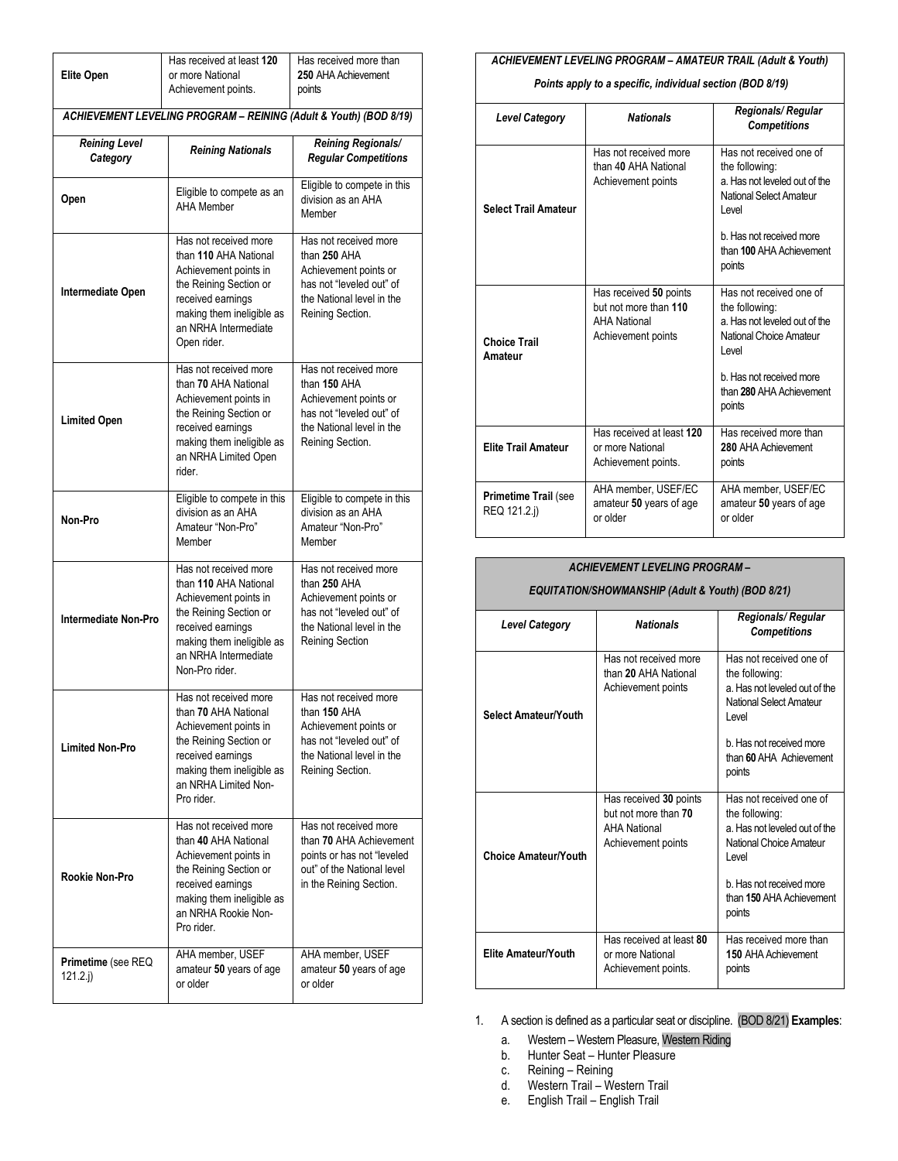|                                                                   | Has received at least 120                                                                                                                                                                     | Has received more than                                                                                                                            |  |  |  |
|-------------------------------------------------------------------|-----------------------------------------------------------------------------------------------------------------------------------------------------------------------------------------------|---------------------------------------------------------------------------------------------------------------------------------------------------|--|--|--|
| <b>Elite Open</b>                                                 | or more National                                                                                                                                                                              | 250 AHA Achievement                                                                                                                               |  |  |  |
|                                                                   | Achievement points.                                                                                                                                                                           | points                                                                                                                                            |  |  |  |
| ACHIEVEMENT LEVELING PROGRAM - REINING (Adult & Youth) (BOD 8/19) |                                                                                                                                                                                               |                                                                                                                                                   |  |  |  |
| <b>Reining Level</b><br>Category                                  | <b>Reining Nationals</b>                                                                                                                                                                      | <b>Reining Regionals/</b><br><b>Regular Competitions</b>                                                                                          |  |  |  |
| Open                                                              | Eligible to compete as an<br><b>AHA Member</b>                                                                                                                                                | Eligible to compete in this<br>division as an AHA<br>Member                                                                                       |  |  |  |
| Intermediate Open                                                 | Has not received more<br>than 110 AHA National<br>Achievement points in<br>the Reining Section or<br>received earnings<br>making them ineligible as<br>an NRHA Intermediate<br>Open rider.    | Has not received more<br>than 250 AHA<br>Achievement points or<br>has not "leveled out" of<br>the National level in the<br>Reining Section.       |  |  |  |
| <b>Limited Open</b>                                               | Has not received more<br>than 70 AHA National<br>Achievement points in<br>the Reining Section or<br>received earnings<br>making them ineligible as<br>an NRHA Limited Open<br>rider.          | Has not received more<br>than 150 AHA<br>Achievement points or<br>has not "leveled out" of<br>the National level in the<br>Reining Section.       |  |  |  |
| Non-Pro                                                           | Eligible to compete in this<br>division as an AHA<br>Amateur "Non-Pro"<br>Member                                                                                                              | Eligible to compete in this<br>division as an AHA<br>Amateur "Non-Pro"<br>Member                                                                  |  |  |  |
| <b>Intermediate Non-Pro</b>                                       | Has not received more<br>than 110 AHA National<br>Achievement points in<br>the Reining Section or<br>received earnings<br>making them ineligible as<br>an NRHA Intermediate<br>Non-Pro rider. | Has not received more<br>than 250 AHA<br>Achievement points or<br>has not "leveled out" of<br>the National level in the<br><b>Reining Section</b> |  |  |  |
| <b>Limited Non-Pro</b>                                            | Has not received more<br>than 70 AHA National<br>Achievement points in<br>the Reining Section or<br>received earnings<br>making them ineligible as<br>an NRHA Limited Non-<br>Pro rider       | Has not received more<br>than 150 AHA<br>Achievement points or<br>has not "leveled out" of<br>the National level in the<br>Reining Section.       |  |  |  |
| Rookie Non-Pro                                                    | Has not received more<br>than 40 AHA National<br>Achievement points in<br>the Reining Section or<br>received earnings<br>making them ineligible as<br>an NRHA Rookie Non-<br>Pro rider.       | Has not received more<br>than 70 AHA Achievement<br>points or has not "leveled<br>out" of the National level<br>in the Reining Section.           |  |  |  |
| Primetime (see REQ<br>121.2 i)                                    | AHA member, USEF<br>amateur 50 years of age<br>or older                                                                                                                                       | AHA member, USEF<br>amateur 50 years of age<br>or older                                                                                           |  |  |  |

# *ACHIEVEMENT LEVELING PROGRAM – AMATEUR TRAIL (Adult & Youth)*

# *Points apply to a specific, individual section (BOD 8/19)*

| <b>Level Category</b>                | <b>Nationals</b>                                                                             | Regionals/Regular<br><b>Competitions</b>                                                                                                                                         |
|--------------------------------------|----------------------------------------------------------------------------------------------|----------------------------------------------------------------------------------------------------------------------------------------------------------------------------------|
| <b>Select Trail Amateur</b>          | Has not received more<br>than 40 AHA National<br>Achievement points                          | Has not received one of<br>the following:<br>a. Has not leveled out of the<br>National Select Amateur<br>Level<br>b. Has not received more<br>than 100 AHA Achievement<br>points |
| <b>Choice Trail</b><br>Amateur       | Has received 50 points<br>but not more than 110<br><b>AHA National</b><br>Achievement points | Has not received one of<br>the following:<br>a. Has not leveled out of the<br>National Choice Amateur<br>Level<br>b. Has not received more<br>than 280 AHA Achievement<br>points |
| <b>Elite Trail Amateur</b>           | Has received at least 120<br>or more National<br>Achievement points.                         | Has received more than<br>280 AHA Achievement<br>points                                                                                                                          |
| Primetime Trail (see<br>REQ 121.2.j) | AHA member, USEF/EC<br>amateur 50 years of age<br>or older                                   | AHA member. USEF/EC<br>amateur 50 years of age<br>or older                                                                                                                       |

# *ACHIEVEMENT LEVELING PROGRAM –*

# *EQUITATION/SHOWMANSHIP (Adult & Youth) (BOD 8/21)*

| <b>Level Category</b>       | <b>Nationals</b>                                                                            | <b>Regionals/Regular</b><br><b>Competitions</b>                                                                 |
|-----------------------------|---------------------------------------------------------------------------------------------|-----------------------------------------------------------------------------------------------------------------|
| <b>Select Amateur/Youth</b> | Has not received more<br>than 20 AHA National<br>Achievement points                         | Has not received one of<br>the following:<br>a. Has not leveled out of the<br>National Select Amateur<br>I evel |
|                             |                                                                                             | b Has not received more<br>than 60 AHA Achievement<br>points                                                    |
| <b>Choice Amateur/Youth</b> | Has received 30 points<br>but not more than 70<br><b>AHA National</b><br>Achievement points | Has not received one of<br>the following:<br>a. Has not leveled out of the<br>National Choice Amateur<br>I evel |
|                             |                                                                                             | b Has not received more<br>than 150 AHA Achievement<br>points                                                   |
| Elite Amateur/Youth         | Has received at least 80<br>or more National<br>Achievement points.                         | Has received more than<br>150 AHA Achievement<br>points                                                         |

1. A section is defined as a particular seat or discipline. (BOD 8/21) **Examples**:

- a. Western Western Pleasure, Western Riding
- b. Hunter Seat Hunter Pleasure
- c. Reining Reining<br>d. Western Trail We
- Western Trail Western Trail
- e. English Trail English Trail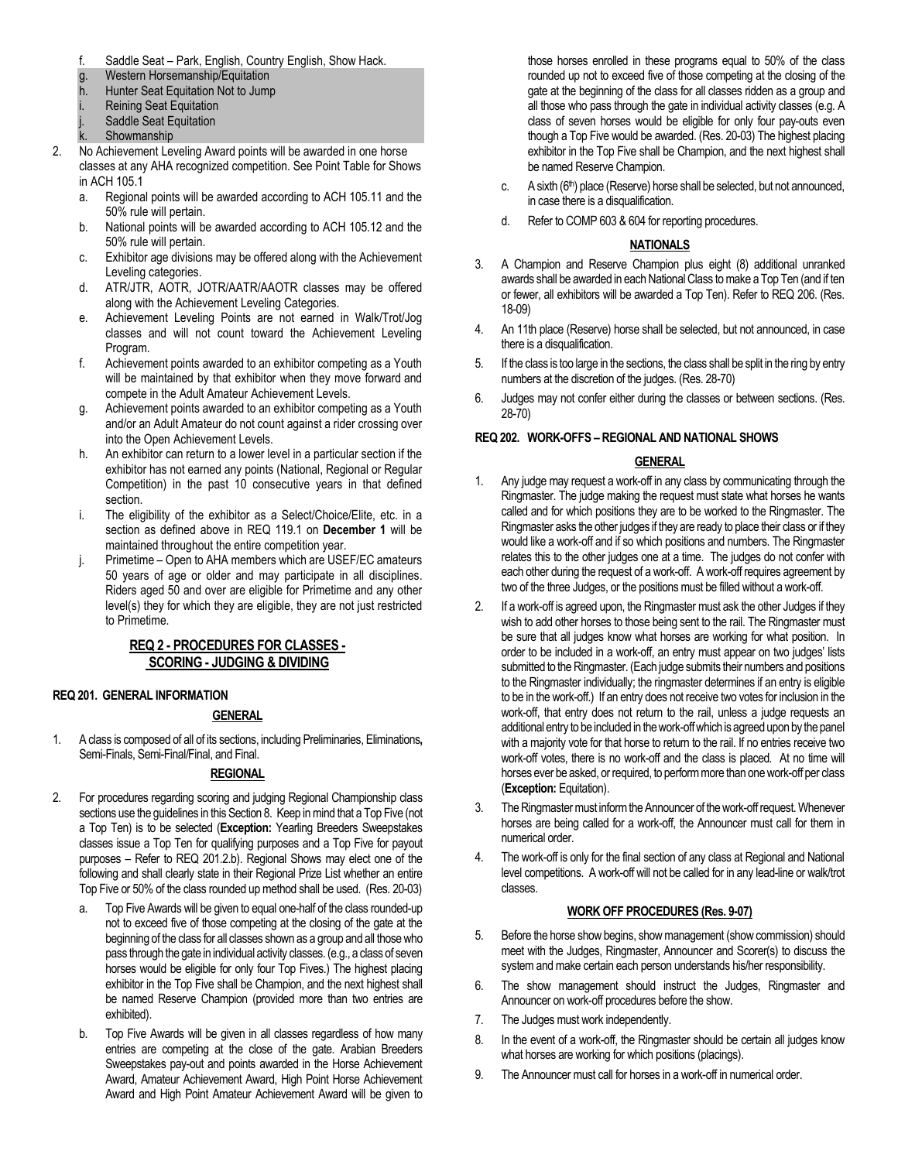- f. Saddle Seat Park, English, Country English, Show Hack.
- g. Western Horsemanship/Equitation
- h. Hunter Seat Equitation Not to Jump
- i. Reining Seat Equitation
- Saddle Seat Equitation
- k. Showmanship
- 2. No Achievement Leveling Award points will be awarded in one horse classes at any AHA recognized competition. See Point Table for Shows in ACH 105.1
	- a. Regional points will be awarded according to ACH 105.11 and the 50% rule will pertain.
	- b. National points will be awarded according to ACH 105.12 and the 50% rule will pertain.
	- c. Exhibitor age divisions may be offered along with the Achievement Leveling categories.
	- d. ATR/JTR, AOTR, JOTR/AATR/AAOTR classes may be offered along with the Achievement Leveling Categories.
	- e. Achievement Leveling Points are not earned in Walk/Trot/Jog classes and will not count toward the Achievement Leveling Program.
	- f. Achievement points awarded to an exhibitor competing as a Youth will be maintained by that exhibitor when they move forward and compete in the Adult Amateur Achievement Levels.
	- g. Achievement points awarded to an exhibitor competing as a Youth and/or an Adult Amateur do not count against a rider crossing over into the Open Achievement Levels.
	- h. An exhibitor can return to a lower level in a particular section if the exhibitor has not earned any points (National, Regional or Regular Competition) in the past 10 consecutive years in that defined section.
	- i. The eligibility of the exhibitor as a Select/Choice/Elite, etc. in a section as defined above in REQ 119.1 on **December 1** will be maintained throughout the entire competition year.
	- j. Primetime Open to AHA members which are USEF/EC amateurs 50 years of age or older and may participate in all disciplines. Riders aged 50 and over are eligible for Primetime and any other level(s) they for which they are eligible, they are not just restricted to Primetime.

# **REQ 2 - PROCEDURES FOR CLASSES - SCORING - JUDGING & DIVIDING**

# **REQ 201. GENERAL INFORMATION**

# **GENERAL**

1. A class is composed of all of its sections, including Preliminaries, Eliminations**,**  Semi-Finals, Semi-Final/Final, and Final.

# **REGIONAL**

- 2. For procedures regarding scoring and judging Regional Championship class sections use the guidelines in this Section 8. Keep in mind that a Top Five (not a Top Ten) is to be selected (**Exception:** Yearling Breeders Sweepstakes classes issue a Top Ten for qualifying purposes and a Top Five for payout purposes – Refer to REQ 201.2.b). Regional Shows may elect one of the following and shall clearly state in their Regional Prize List whether an entire Top Five or 50% of the class rounded up method shall be used. (Res. 20-03)
	- a. Top Five Awards will be given to equal one-half of the class rounded-up not to exceed five of those competing at the closing of the gate at the beginning of the class for all classes shown as a group and all those who pass through the gate in individual activity classes. (e.g., a class of seven horses would be eligible for only four Top Fives.) The highest placing exhibitor in the Top Five shall be Champion, and the next highest shall be named Reserve Champion (provided more than two entries are exhibited).
	- b. Top Five Awards will be given in all classes regardless of how many entries are competing at the close of the gate. Arabian Breeders Sweepstakes pay-out and points awarded in the Horse Achievement Award, Amateur Achievement Award, High Point Horse Achievement Award and High Point Amateur Achievement Award will be given to

those horses enrolled in these programs equal to 50% of the class rounded up not to exceed five of those competing at the closing of the gate at the beginning of the class for all classes ridden as a group and all those who pass through the gate in individual activity classes (e.g. A class of seven horses would be eligible for only four pay-outs even though a Top Five would be awarded. (Res. 20-03) The highest placing exhibitor in the Top Five shall be Champion, and the next highest shall be named Reserve Champion.

- c. A sixth (6<sup>th</sup>) place (Reserve) horse shall be selected, but not announced, in case there is a disqualification.
- d. Refer to COMP 603 & 604 for reporting procedures.

# **NATIONALS**

- 3. A Champion and Reserve Champion plus eight (8) additional unranked awards shall be awarded in each National Class to make a Top Ten (and if ten or fewer, all exhibitors will be awarded a Top Ten). Refer to REQ 206. (Res. 18-09)
- 4. An 11th place (Reserve) horse shall be selected, but not announced, in case there is a disqualification.
- 5. If the class is too large in the sections, the class shall be split in the ring by entry numbers at the discretion of the judges. (Res. 28-70)
- 6. Judges may not confer either during the classes or between sections. (Res. 28-70)

# **REQ 202. WORK-OFFS – REGIONAL AND NATIONAL SHOWS**

# **GENERAL**

- 1. Any judge may request a work-off in any class by communicating through the Ringmaster. The judge making the request must state what horses he wants called and for which positions they are to be worked to the Ringmaster. The Ringmaster asks the other judges if they are ready to place their class or if they would like a work-off and if so which positions and numbers. The Ringmaster relates this to the other judges one at a time. The judges do not confer with each other during the request of a work-off. A work-off requires agreement by two of the three Judges, or the positions must be filled without a work-off.
- 2. If a work-off is agreed upon, the Ringmaster must ask the other Judges if they wish to add other horses to those being sent to the rail. The Ringmaster must be sure that all judges know what horses are working for what position. In order to be included in a work-off, an entry must appear on two judges' lists submitted to the Ringmaster. (Each judge submits their numbers and positions to the Ringmaster individually; the ringmaster determines if an entry is eligible to be in the work-off.) If an entry does not receive two votes for inclusion in the work-off, that entry does not return to the rail, unless a judge requests an additional entry to be included in the work-off which is agreed upon by the panel with a majority vote for that horse to return to the rail. If no entries receive two work-off votes, there is no work-off and the class is placed*.* At no time will horses ever be asked, or required, to perform more than one work-off per class (**Exception:** Equitation).
- 3. The Ringmaster must inform the Announcer of the work-off request. Whenever horses are being called for a work-off, the Announcer must call for them in numerical order.
- 4. The work-off is only for the final section of any class at Regional and National level competitions. A work-off will not be called for in any lead-line or walk/trot classes.

# **WORK OFF PROCEDURES (Res. 9-07)**

- 5. Before the horse show begins, show management (show commission) should meet with the Judges, Ringmaster, Announcer and Scorer(s) to discuss the system and make certain each person understands his/her responsibility.
- 6. The show management should instruct the Judges, Ringmaster and Announcer on work-off procedures before the show.
- 7. The Judges must work independently.
- 8. In the event of a work-off, the Ringmaster should be certain all judges know what horses are working for which positions (placings).
- 9. The Announcer must call for horses in a work-off in numerical order.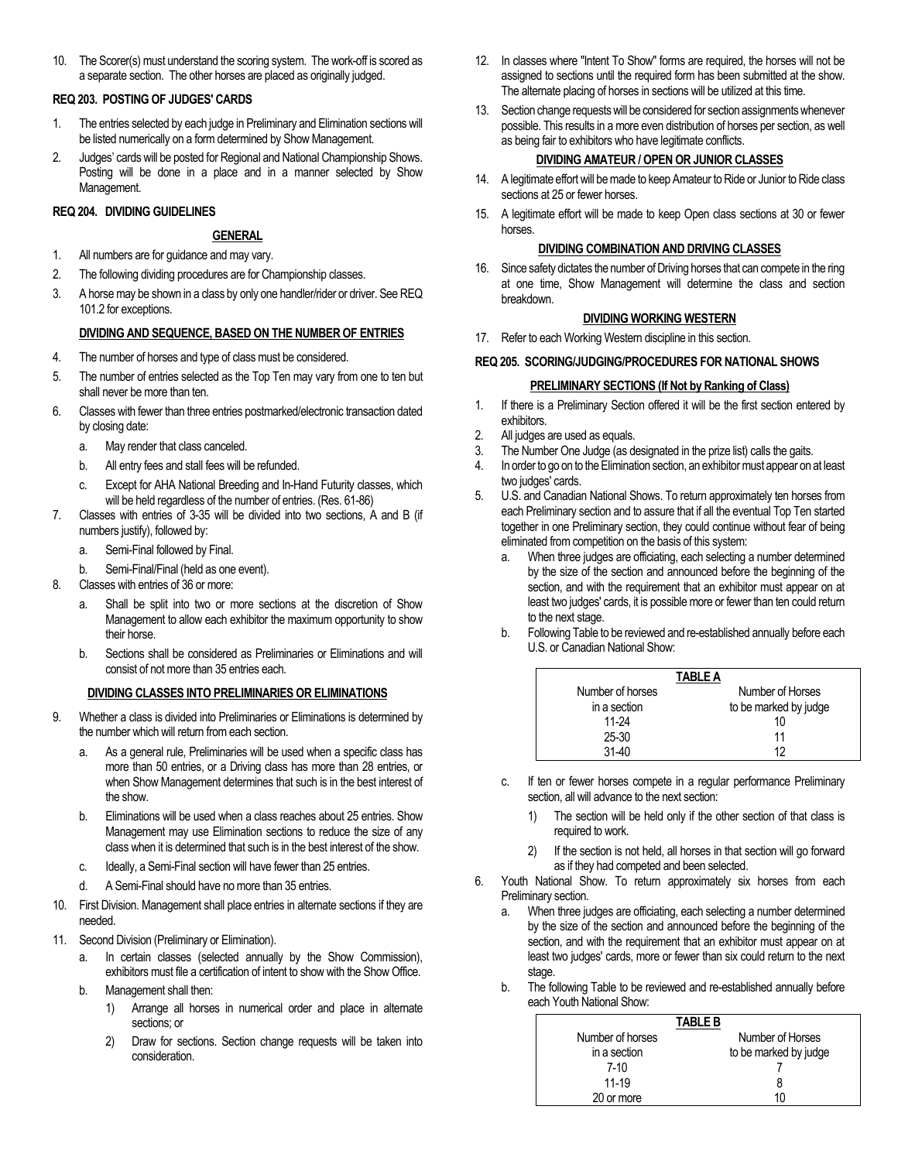10. The Scorer(s) must understand the scoring system. The work-off is scored as a separate section. The other horses are placed as originally judged.

# **REQ 203. POSTING OF JUDGES' CARDS**

- 1. The entries selected by each judge in Preliminary and Elimination sections will be listed numerically on a form determined by Show Management.
- 2. Judges' cards will be posted for Regional and National Championship Shows. Posting will be done in a place and in a manner selected by Show Management.

# **REQ 204. DIVIDING GUIDELINES**

# **GENERAL**

- 1. All numbers are for guidance and may vary.
- 2. The following dividing procedures are for Championship classes.
- 3. A horse may be shown in a class by only one handler/rider or driver. See REQ 101.2 for exceptions.

# **DIVIDING AND SEQUENCE, BASED ON THE NUMBER OF ENTRIES**

- 4. The number of horses and type of class must be considered.
- 5. The number of entries selected as the Top Ten may vary from one to ten but shall never be more than ten.
- 6. Classes with fewer than three entries postmarked/electronic transaction dated by closing date:
	- a. May render that class canceled.
	- b. All entry fees and stall fees will be refunded.
	- c. Except for AHA National Breeding and In-Hand Futurity classes, which will be held regardless of the number of entries. (Res. 61-86)
- 7. Classes with entries of 3-35 will be divided into two sections, A and B (if numbers justify), followed by:
	- a. Semi-Final followed by Final.
	- b. Semi-Final/Final (held as one event).
- 8. Classes with entries of 36 or more:
	- a. Shall be split into two or more sections at the discretion of Show Management to allow each exhibitor the maximum opportunity to show their horse.
	- b. Sections shall be considered as Preliminaries or Eliminations and will consist of not more than 35 entries each.

# **DIVIDING CLASSES INTO PRELIMINARIES OR ELIMINATIONS**

- 9. Whether a class is divided into Preliminaries or Eliminations is determined by the number which will return from each section.
	- a. As a general rule, Preliminaries will be used when a specific class has more than 50 entries, or a Driving class has more than 28 entries, or when Show Management determines that such is in the best interest of the show.
	- b. Eliminations will be used when a class reaches about 25 entries. Show Management may use Elimination sections to reduce the size of any class when it is determined that such is in the best interest of the show.
	- c. Ideally, a Semi-Final section will have fewer than 25 entries.
	- d. A Semi-Final should have no more than 35 entries.
- 10. First Division. Management shall place entries in alternate sections if they are needed.
- 11. Second Division (Preliminary or Elimination).
	- a. In certain classes (selected annually by the Show Commission), exhibitors must file a certification of intent to show with the Show Office.
	- b. Management shall then:
		- 1) Arrange all horses in numerical order and place in alternate sections; or
		- 2) Draw for sections. Section change requests will be taken into consideration.
- 12. In classes where "Intent To Show" forms are required, the horses will not be assigned to sections until the required form has been submitted at the show. The alternate placing of horses in sections will be utilized at this time.
- 13. Section change requests will be considered for section assignments whenever possible. This results in a more even distribution of horses per section, as well as being fair to exhibitors who have legitimate conflicts.

# **DIVIDING AMATEUR / OPEN OR JUNIOR CLASSES**

- 14. A legitimate effort will be made to keep Amateur to Ride or Junior to Ride class sections at 25 or fewer horses.
- 15. A legitimate effort will be made to keep Open class sections at 30 or fewer horses.

# **DIVIDING COMBINATION AND DRIVING CLASSES**

16. Since safety dictates the number of Driving horses that can compete in the ring at one time, Show Management will determine the class and section breakdown.

# **DIVIDING WORKING WESTERN**

17. Refer to each Working Western discipline in this section.

# **REQ 205. SCORING/JUDGING/PROCEDURES FOR NATIONAL SHOWS**

# **PRELIMINARY SECTIONS (If Not by Ranking of Class)**

- 1. If there is a Preliminary Section offered it will be the first section entered by exhibitors.
- 2. All judges are used as equals.
- 3. The Number One Judge (as designated in the prize list) calls the gaits.
- 4. In order to go on to the Elimination section, an exhibitor must appear on at least two judges' cards.
- 5. U.S. and Canadian National Shows. To return approximately ten horses from each Preliminary section and to assure that if all the eventual Top Ten started together in one Preliminary section, they could continue without fear of being eliminated from competition on the basis of this system:
	- a. When three judges are officiating, each selecting a number determined by the size of the section and announced before the beginning of the section, and with the requirement that an exhibitor must appear on at least two judges' cards, it is possible more or fewer than ten could return to the next stage.
	- b. Following Table to be reviewed and re-established annually before each U.S. or Canadian National Show:

|                  | <b>TABLE A</b>        |
|------------------|-----------------------|
| Number of horses | Number of Horses      |
| in a section     | to be marked by judge |
| 11-24            | 10                    |
| $25 - 30$        | 11                    |
| $31-40$          | 12                    |

- c. If ten or fewer horses compete in a regular performance Preliminary section, all will advance to the next section:
	- 1) The section will be held only if the other section of that class is required to work.
	- 2) If the section is not held, all horses in that section will go forward as if they had competed and been selected.
- 6. Youth National Show. To return approximately six horses from each Preliminary section.
	- a. When three judges are officiating, each selecting a number determined by the size of the section and announced before the beginning of the section, and with the requirement that an exhibitor must appear on at least two judges' cards, more or fewer than six could return to the next stage.
	- b. The following Table to be reviewed and re-established annually before each Youth National Show:

|                  | <b>TABLE B</b>        |
|------------------|-----------------------|
| Number of horses | Number of Horses      |
| in a section     | to be marked by judge |
| $7-10$           |                       |
| $11 - 19$        | 8                     |
| 20 or more       | 10                    |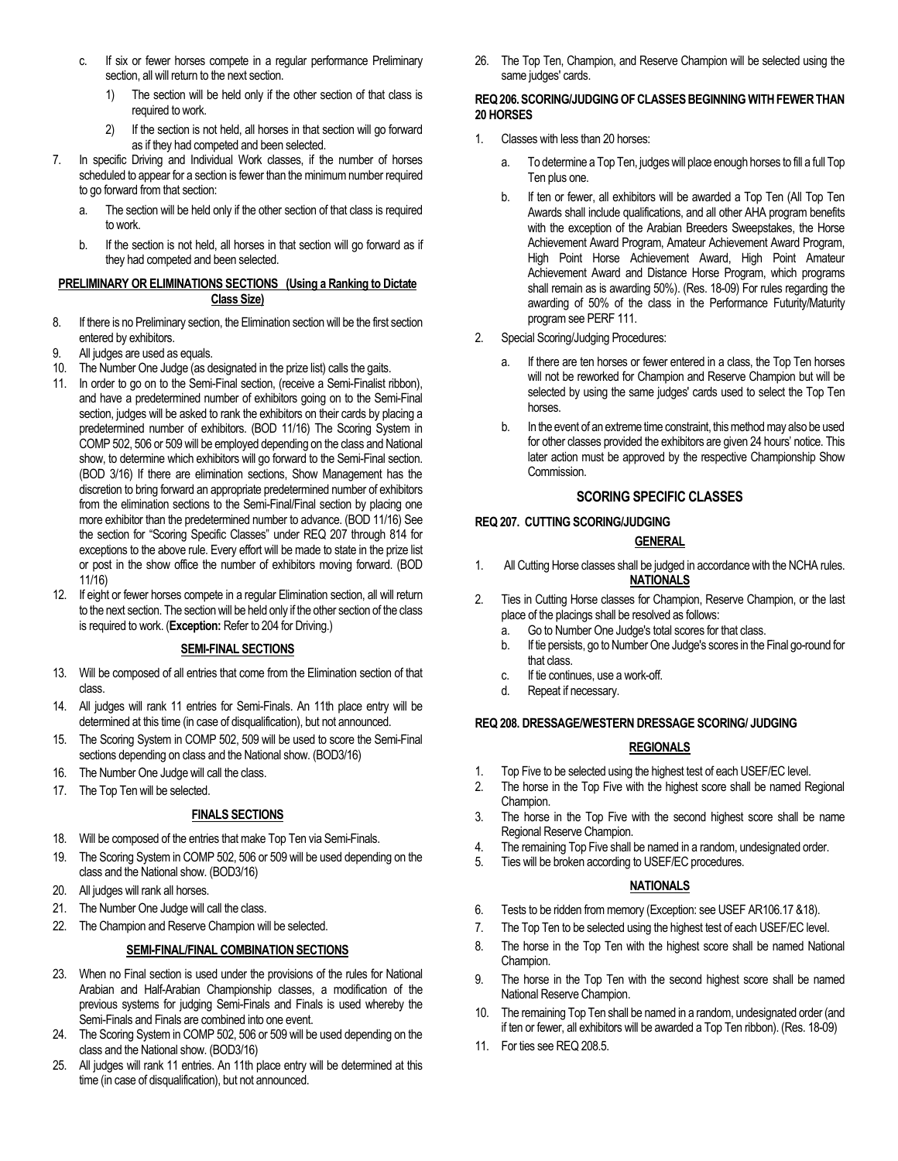- c. If six or fewer horses compete in a regular performance Preliminary section, all will return to the next section.
	- 1) The section will be held only if the other section of that class is required to work.
	- 2) If the section is not held, all horses in that section will go forward as if they had competed and been selected.
- 7. In specific Driving and Individual Work classes, if the number of horses scheduled to appear for a section is fewer than the minimum number required to go forward from that section:
	- a. The section will be held only if the other section of that class is required to work.
	- b. If the section is not held, all horses in that section will go forward as if they had competed and been selected.

# **PRELIMINARY OR ELIMINATIONS SECTIONS (Using a Ranking to Dictate Class Size)**

- 8. If there is no Preliminary section, the Elimination section will be the first section entered by exhibitors.
- 9. All judges are used as equals.
- 10. The Number One Judge (as designated in the prize list) calls the gaits.
- 11. In order to go on to the Semi-Final section, (receive a Semi-Finalist ribbon), and have a predetermined number of exhibitors going on to the Semi-Final section, judges will be asked to rank the exhibitors on their cards by placing a predetermined number of exhibitors. (BOD 11/16) The Scoring System in COMP 502, 506 or 509 will be employed depending on the class and National show, to determine which exhibitors will go forward to the Semi-Final section. (BOD 3/16) If there are elimination sections, Show Management has the discretion to bring forward an appropriate predetermined number of exhibitors from the elimination sections to the Semi-Final/Final section by placing one more exhibitor than the predetermined number to advance. (BOD 11/16) See the section for "Scoring Specific Classes" under REQ 207 through 814 for exceptions to the above rule. Every effort will be made to state in the prize list or post in the show office the number of exhibitors moving forward. (BOD 11/16)
- 12. If eight or fewer horses compete in a regular Elimination section, all will return to the next section. The section will be held only if the other section of the class is required to work. (**Exception:** Refer to 204 for Driving.)

# **SEMI-FINAL SECTIONS**

- 13. Will be composed of all entries that come from the Elimination section of that class.
- 14. All judges will rank 11 entries for Semi-Finals. An 11th place entry will be determined at this time (in case of disqualification), but not announced.
- 15. The Scoring System in COMP 502, 509 will be used to score the Semi-Final sections depending on class and the National show. (BOD3/16)
- 16. The Number One Judge will call the class. 17. The Top Ten will be selected.

# **FINALS SECTIONS**

- 18. Will be composed of the entries that make Top Ten via Semi-Finals.
- 19. The Scoring System in COMP 502, 506 or 509 will be used depending on the class and the National show. (BOD3/16)
- 20. All judges will rank all horses.
- 21. The Number One Judge will call the class.
- 22. The Champion and Reserve Champion will be selected.

# **SEMI-FINAL/FINAL COMBINATION SECTIONS**

- 23. When no Final section is used under the provisions of the rules for National Arabian and Half-Arabian Championship classes, a modification of the previous systems for judging Semi-Finals and Finals is used whereby the Semi-Finals and Finals are combined into one event.
- 24. The Scoring System in COMP 502, 506 or 509 will be used depending on the class and the National show. (BOD3/16)
- 25. All judges will rank 11 entries. An 11th place entry will be determined at this time (in case of disqualification), but not announced.

26. The Top Ten, Champion, and Reserve Champion will be selected using the same judges' cards.

#### **REQ 206. SCORING/JUDGING OF CLASSES BEGINNING WITH FEWER THAN 20 HORSES**

- 1. Classes with less than 20 horses:
	- a. To determine a Top Ten, judges will place enough horses to fill a full Top Ten plus one.
	- b. If ten or fewer, all exhibitors will be awarded a Top Ten (All Top Ten Awards shall include qualifications, and all other AHA program benefits with the exception of the Arabian Breeders Sweepstakes, the Horse Achievement Award Program, Amateur Achievement Award Program, High Point Horse Achievement Award, High Point Amateur Achievement Award and Distance Horse Program, which programs shall remain as is awarding 50%). (Res. 18-09) For rules regarding the awarding of 50% of the class in the Performance Futurity/Maturity program see PERF 111.
- 2. Special Scoring/Judging Procedures:
	- a. If there are ten horses or fewer entered in a class, the Top Ten horses will not be reworked for Champion and Reserve Champion but will be selected by using the same judges' cards used to select the Top Ten horses.
	- b. In the event of an extreme time constraint, this method may also be used for other classes provided the exhibitors are given 24 hours' notice. This later action must be approved by the respective Championship Show Commission.

# **SCORING SPECIFIC CLASSES**

# **REQ 207. CUTTING SCORING/JUDGING**

# **GENERAL**

- 1. All Cutting Horse classes shall be judged in accordance with the NCHA rules. **NATIONALS**
- 2. Ties in Cutting Horse classes for Champion, Reserve Champion, or the last place of the placings shall be resolved as follows:
	- a. Go to Number One Judge's total scores for that class.
	- b. If tie persists, go to Number One Judge's scores in the Final go-round for that class.
	- c. If tie continues, use a work-off.
	- d. Repeat if necessary.

# **REQ 208. DRESSAGE/WESTERN DRESSAGE SCORING/ JUDGING**

# **REGIONALS**

- 1. Top Five to be selected using the highest test of each USEF/EC level.
- 2. The horse in the Top Five with the highest score shall be named Regional Champion.
- 3. The horse in the Top Five with the second highest score shall be name Regional Reserve Champion.
- 4. The remaining Top Five shall be named in a random, undesignated order.
- 5. Ties will be broken according to USEF/EC procedures.

# **NATIONALS**

- 6. Tests to be ridden from memory (Exception: see USEF AR106.17 &18).
- 7. The Top Ten to be selected using the highest test of each USEF/EC level.
- 8. The horse in the Top Ten with the highest score shall be named National Champion.
- 9. The horse in the Top Ten with the second highest score shall be named National Reserve Champion.
- 10. The remaining Top Ten shall be named in a random, undesignated order (and if ten or fewer, all exhibitors will be awarded a Top Ten ribbon). (Res. 18-09)
- 11. For ties see REQ 208.5.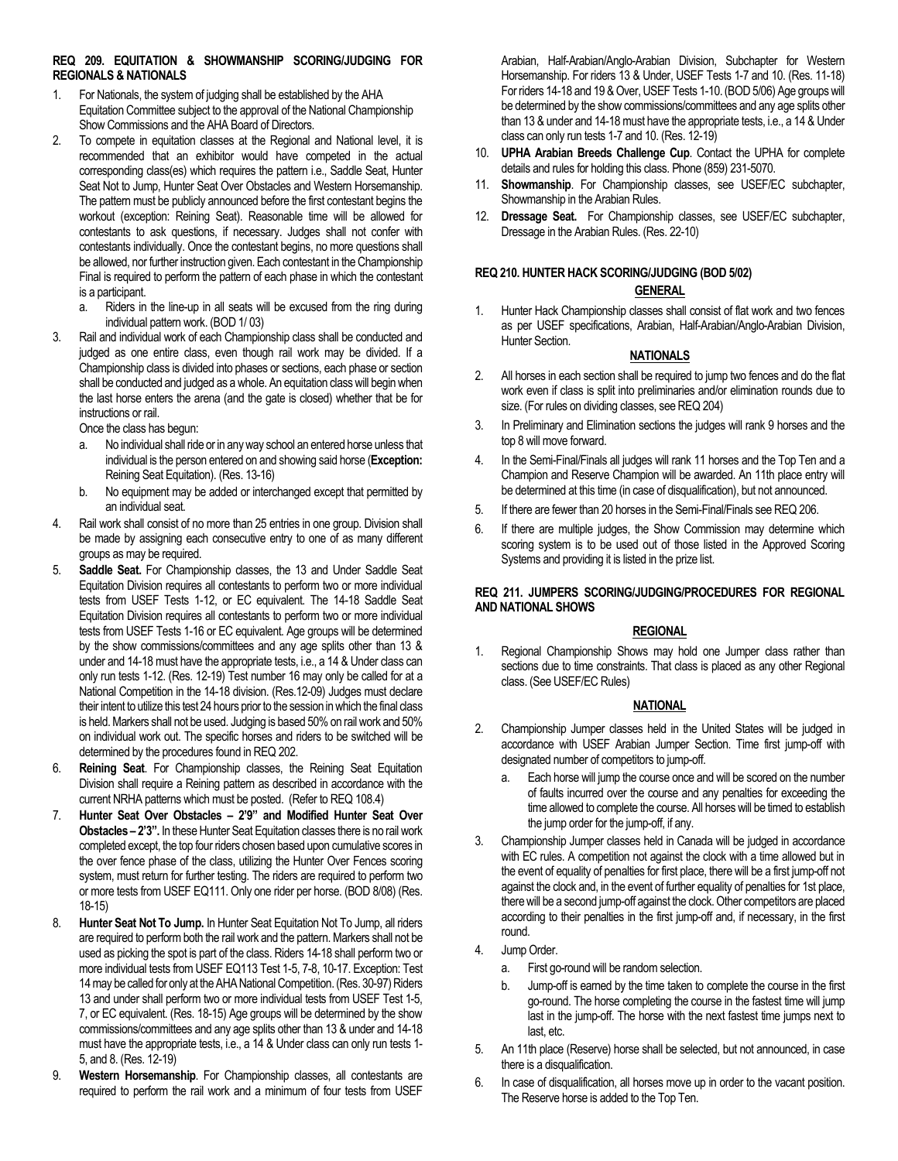# **REQ 209. EQUITATION & SHOWMANSHIP SCORING/JUDGING FOR REGIONALS & NATIONALS**

- 1. For Nationals, the system of judging shall be established by the AHA Equitation Committee subject to the approval of the National Championship Show Commissions and the AHA Board of Directors.
- 2. To compete in equitation classes at the Regional and National level, it is recommended that an exhibitor would have competed in the actual corresponding class(es) which requires the pattern i.e., Saddle Seat, Hunter Seat Not to Jump, Hunter Seat Over Obstacles and Western Horsemanship. The pattern must be publicly announced before the first contestant begins the workout (exception: Reining Seat). Reasonable time will be allowed for contestants to ask questions, if necessary. Judges shall not confer with contestants individually. Once the contestant begins, no more questions shall be allowed, nor further instruction given. Each contestant in the Championship Final is required to perform the pattern of each phase in which the contestant is a participant.
	- a. Riders in the line-up in all seats will be excused from the ring during individual pattern work. (BOD 1/ 03)
- 3. Rail and individual work of each Championship class shall be conducted and judged as one entire class, even though rail work may be divided. If a Championship class is divided into phases or sections, each phase or section shall be conducted and judged as a whole. An equitation class will begin when the last horse enters the arena (and the gate is closed) whether that be for instructions or rail.

Once the class has begun:

- a. No individual shall ride or in any way school an entered horse unless that individual is the person entered on and showing said horse (**Exception:** Reining Seat Equitation). (Res. 13-16)
- b. No equipment may be added or interchanged except that permitted by an individual seat.
- 4. Rail work shall consist of no more than 25 entries in one group. Division shall be made by assigning each consecutive entry to one of as many different groups as may be required.
- 5. **Saddle Seat.** For Championship classes, the 13 and Under Saddle Seat Equitation Division requires all contestants to perform two or more individual tests from USEF Tests 1-12, or EC equivalent. The 14-18 Saddle Seat Equitation Division requires all contestants to perform two or more individual tests from USEF Tests 1-16 or EC equivalent. Age groups will be determined by the show commissions/committees and any age splits other than 13 & under and 14-18 must have the appropriate tests, i.e., a 14 & Under class can only run tests 1-12. (Res. 12-19) Test number 16 may only be called for at a National Competition in the 14-18 division. (Res.12-09) Judges must declare their intent to utilize this test 24 hours prior to the session in which the final class is held. Markers shall not be used. Judging is based 50% on rail work and 50% on individual work out. The specific horses and riders to be switched will be determined by the procedures found in REQ 202.
- 6. **Reining Seat**. For Championship classes, the Reining Seat Equitation Division shall require a Reining pattern as described in accordance with the current NRHA patterns which must be posted. (Refer to REQ 108.4)
- 7. **Hunter Seat Over Obstacles – 2'9" and Modified Hunter Seat Over Obstacles – 2'3".** In these Hunter Seat Equitation classes there is no rail work completed except, the top four riders chosen based upon cumulative scores in the over fence phase of the class, utilizing the Hunter Over Fences scoring system, must return for further testing. The riders are required to perform two or more tests from USEF EQ111. Only one rider per horse. (BOD 8/08) (Res. 18-15)
- 8. **Hunter Seat Not To Jump.** In Hunter Seat Equitation Not To Jump, all riders are required to perform both the rail work and the pattern. Markers shall not be used as picking the spot is part of the class. Riders 14-18 shall perform two or more individual tests from USEF EQ113 Test 1-5, 7-8, 10-17. Exception: Test 14may be called for only at the AHA National Competition.(Res. 30-97) Riders 13 and under shall perform two or more individual tests from USEF Test 1-5, 7, or EC equivalent. (Res. 18-15) Age groups will be determined by the show commissions/committees and any age splits other than 13 & under and 14-18 must have the appropriate tests, i.e., a 14 & Under class can only run tests 1- 5, and 8. (Res. 12-19)
- 9. **Western Horsemanship**. For Championship classes, all contestants are required to perform the rail work and a minimum of four tests from USEF

Arabian, Half-Arabian/Anglo-Arabian Division, Subchapter for Western Horsemanship. For riders 13 & Under, USEF Tests 1-7 and 10. (Res. 11-18) For riders 14-18 and 19 & Over, USEF Tests 1-10. (BOD 5/06) Age groups will be determined by the show commissions/committees and any age splits other than 13 & under and 14-18 must have the appropriate tests, i.e., a 14 & Under class can only run tests 1-7 and 10. (Res. 12-19)

- 10. **UPHA Arabian Breeds Challenge Cup**. Contact the UPHA for complete details and rules for holding this class. Phone (859) 231-5070.
- 11. **Showmanship**. For Championship classes, see USEF/EC subchapter, Showmanship in the Arabian Rules.
- 12. **Dressage Seat.** For Championship classes, see USEF/EC subchapter, Dressage in the Arabian Rules. (Res. 22-10)

# **REQ 210. HUNTER HACK SCORING/JUDGING (BOD 5/02)**

# **GENERAL**

1. Hunter Hack Championship classes shall consist of flat work and two fences as per USEF specifications, Arabian, Half-Arabian/Anglo-Arabian Division, Hunter Section.

# **NATIONALS**

- 2. All horses in each section shall be required to jump two fences and do the flat work even if class is split into preliminaries and/or elimination rounds due to size. (For rules on dividing classes, see REQ 204)
- 3. In Preliminary and Elimination sections the judges will rank 9 horses and the top 8 will move forward.
- 4. In the Semi-Final/Finals all judges will rank 11 horses and the Top Ten and a Champion and Reserve Champion will be awarded. An 11th place entry will be determined at this time (in case of disqualification), but not announced.
- 5. If there are fewer than 20 horses in the Semi-Final/Finals see REQ 206.
- 6. If there are multiple judges, the Show Commission may determine which scoring system is to be used out of those listed in the Approved Scoring Systems and providing it is listed in the prize list.

# **REQ 211. JUMPERS SCORING/JUDGING/PROCEDURES FOR REGIONAL AND NATIONAL SHOWS**

# **REGIONAL**

1. Regional Championship Shows may hold one Jumper class rather than sections due to time constraints. That class is placed as any other Regional class. (See USEF/EC Rules)

# **NATIONAL**

- 2. Championship Jumper classes held in the United States will be judged in accordance with USEF Arabian Jumper Section. Time first jump-off with designated number of competitors to jump-off.
	- a. Each horse will jump the course once and will be scored on the number of faults incurred over the course and any penalties for exceeding the time allowed to complete the course. All horses will be timed to establish the jump order for the jump-off, if any.
- 3. Championship Jumper classes held in Canada will be judged in accordance with EC rules. A competition not against the clock with a time allowed but in the event of equality of penalties for first place, there will be a first jump-off not against the clock and, in the event of further equality of penalties for 1st place, there will be a second jump-off against the clock. Other competitors are placed according to their penalties in the first jump-off and, if necessary, in the first round.
- 4. Jump Order.
	- a. First go-round will be random selection.
	- b. Jump-off is earned by the time taken to complete the course in the first go-round. The horse completing the course in the fastest time will jump last in the jump-off. The horse with the next fastest time jumps next to last, etc.
- 5. An 11th place (Reserve) horse shall be selected, but not announced, in case there is a disqualification.
- 6. In case of disqualification, all horses move up in order to the vacant position. The Reserve horse is added to the Top Ten.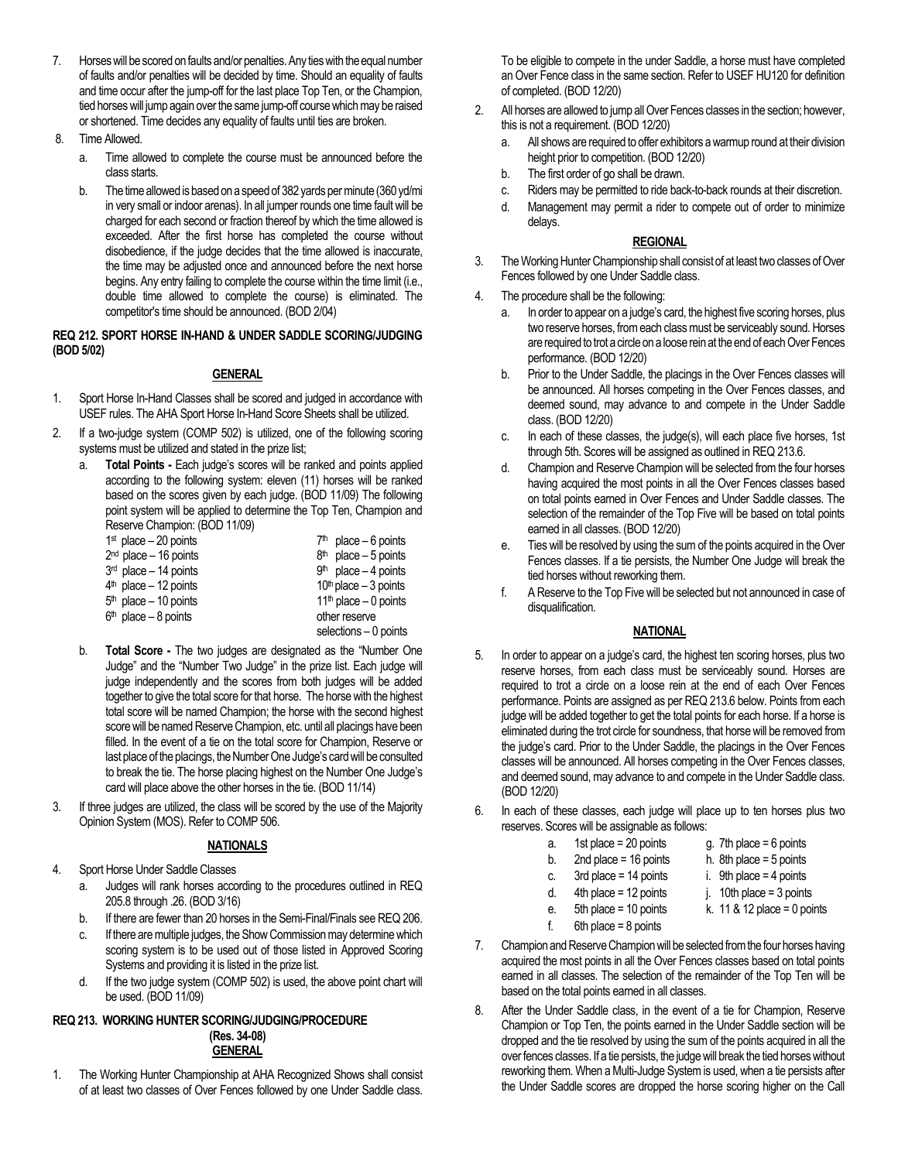- 7. Horses will be scored on faults and/or penalties. Any ties with the equal number of faults and/or penalties will be decided by time. Should an equality of faults and time occur after the jump-off for the last place Top Ten, or the Champion, tied horses will jump again over the same jump-off course which may be raised or shortened. Time decides any equality of faults until ties are broken.
- 8. Time Allowed.
	- a. Time allowed to complete the course must be announced before the class starts.
	- b. The time allowed is based on a speed of 382 yards per minute (360 yd/mi in very small or indoor arenas). In all jumper rounds one time fault will be charged for each second or fraction thereof by which the time allowed is exceeded. After the first horse has completed the course without disobedience, if the judge decides that the time allowed is inaccurate, the time may be adjusted once and announced before the next horse begins. Any entry failing to complete the course within the time limit (i.e., double time allowed to complete the course) is eliminated. The competitor's time should be announced. (BOD 2/04)

# **REQ 212. SPORT HORSE IN-HAND & UNDER SADDLE SCORING/JUDGING (BOD 5/02)**

# **GENERAL**

- 1. Sport Horse In-Hand Classes shall be scored and judged in accordance with USEF rules. The AHA Sport Horse In-Hand Score Sheets shall be utilized.
- 2. If a two-judge system (COMP 502) is utilized, one of the following scoring systems must be utilized and stated in the prize list;
	- a. **Total Points -** Each judge's scores will be ranked and points applied according to the following system: eleven (11) horses will be ranked based on the scores given by each judge. (BOD 11/09) The following point system will be applied to determine the Top Ten, Champion and Reserve Champion: (BOD 11/09)

| $1st$ place $-20$ points | $7th$ place – 6 points   |
|--------------------------|--------------------------|
| $2nd$ place - 16 points  | $8th$ place – 5 points   |
| $3rd$ place $-14$ points | $9th$ place $-4$ points  |
| $4th$ place - 12 points  | $10th$ place $-3$ points |
| $5th$ place - 10 points  | $11th$ place $-0$ points |
| $6th$ place - 8 points   | other reserve            |
|                          | selections $-0$ points   |
|                          |                          |

- b. **Total Score -** The two judges are designated as the "Number One Judge" and the "Number Two Judge" in the prize list. Each judge will judge independently and the scores from both judges will be added together to give the total score for that horse. The horse with the highest total score will be named Champion; the horse with the second highest score will be named Reserve Champion, etc. until all placings have been filled. In the event of a tie on the total score for Champion, Reserve or last place of the placings, the Number One Judge's card will be consulted to break the tie. The horse placing highest on the Number One Judge's card will place above the other horses in the tie. (BOD 11/14)
- 3. If three judges are utilized, the class will be scored by the use of the Majority Opinion System (MOS). Refer to COMP 506.

# **NATIONALS**

- 4. Sport Horse Under Saddle Classes
	- a. Judges will rank horses according to the procedures outlined in REQ 205.8 through .26. (BOD 3/16)
	- b. If there are fewer than 20 horses in the Semi-Final/Finals see REQ 206.
	- c. If there are multiple judges, the Show Commission may determine which scoring system is to be used out of those listed in Approved Scoring Systems and providing it is listed in the prize list.
	- d. If the two judge system (COMP 502) is used, the above point chart will be used. (BOD 11/09)

#### **REQ 213. WORKING HUNTER SCORING/JUDGING/PROCEDURE (Res. 34-08) GENERAL**

1. The Working Hunter Championship at AHA Recognized Shows shall consist of at least two classes of Over Fences followed by one Under Saddle class.

To be eligible to compete in the under Saddle, a horse must have completed an Over Fence class in the same section. Refer to USEF HU120 for definition of completed. (BOD 12/20)

- 2. All horses are allowed to jump all Over Fences classes in the section; however, this is not a requirement. (BOD 12/20)
	- a. All shows are required to offer exhibitors a warmup round at their division height prior to competition. (BOD 12/20)
	- b. The first order of go shall be drawn.
	- c. Riders may be permitted to ride back-to-back rounds at their discretion.
	- d. Management may permit a rider to compete out of order to minimize delays.

# **REGIONAL**

- 3. The Working Hunter Championship shall consist of at least two classes of Over Fences followed by one Under Saddle class.
- 4. The procedure shall be the following:
	- a. In order to appear on a judge's card, the highest five scoring horses, plus two reserve horses, from each class must be serviceably sound. Horses are required to trot a circle on a loose rein at the end of each Over Fences performance. (BOD 12/20)
	- b. Prior to the Under Saddle, the placings in the Over Fences classes will be announced. All horses competing in the Over Fences classes, and deemed sound, may advance to and compete in the Under Saddle class. (BOD 12/20)
	- c. In each of these classes, the judge(s), will each place five horses, 1st through 5th. Scores will be assigned as outlined in REQ 213.6.
	- d. Champion and Reserve Champion will be selected from the four horses having acquired the most points in all the Over Fences classes based on total points earned in Over Fences and Under Saddle classes. The selection of the remainder of the Top Five will be based on total points earned in all classes. (BOD 12/20)
	- e. Ties will be resolved by using the sum of the points acquired in the Over Fences classes. If a tie persists, the Number One Judge will break the tied horses without reworking them.
	- f. A Reserve to the Top Five will be selected but not announced in case of disqualification.

# **NATIONAL**

- 5. In order to appear on a judge's card, the highest ten scoring horses, plus two reserve horses, from each class must be serviceably sound. Horses are required to trot a circle on a loose rein at the end of each Over Fences performance. Points are assigned as per REQ 213.6 below. Points from each judge will be added together to get the total points for each horse. If a horse is eliminated during the trot circle for soundness, that horse will be removed from the judge's card. Prior to the Under Saddle, the placings in the Over Fences classes will be announced. All horses competing in the Over Fences classes, and deemed sound, may advance to and compete in the Under Saddle class. (BOD 12/20)
- 6. In each of these classes, each judge will place up to ten horses plus two reserves. Scores will be assignable as follows:
	- a. 1st place = 20 points g. 7th place = 6 points
	- b. 2nd place =  $16$  points h. 8th place =  $5$  points
	- c. 3rd place =  $14$  points i. 9th place =  $4$  points
	- d. 4th place = 12 points  $j. 10$ th place = 3 points
	- e. 5th place = 10 points  $k. 11 & 812$  place = 0 points
	- f. 6th place  $= 8$  points
- 7. Champion and Reserve Champion will be selected from the four horses having acquired the most points in all the Over Fences classes based on total points earned in all classes. The selection of the remainder of the Top Ten will be based on the total points earned in all classes.
- 8. After the Under Saddle class, in the event of a tie for Champion, Reserve Champion or Top Ten, the points earned in the Under Saddle section will be dropped and the tie resolved by using the sum of the points acquired in all the over fences classes. If a tie persists, the judge will break the tied horses without reworking them. When a Multi-Judge System is used, when a tie persists after the Under Saddle scores are dropped the horse scoring higher on the Call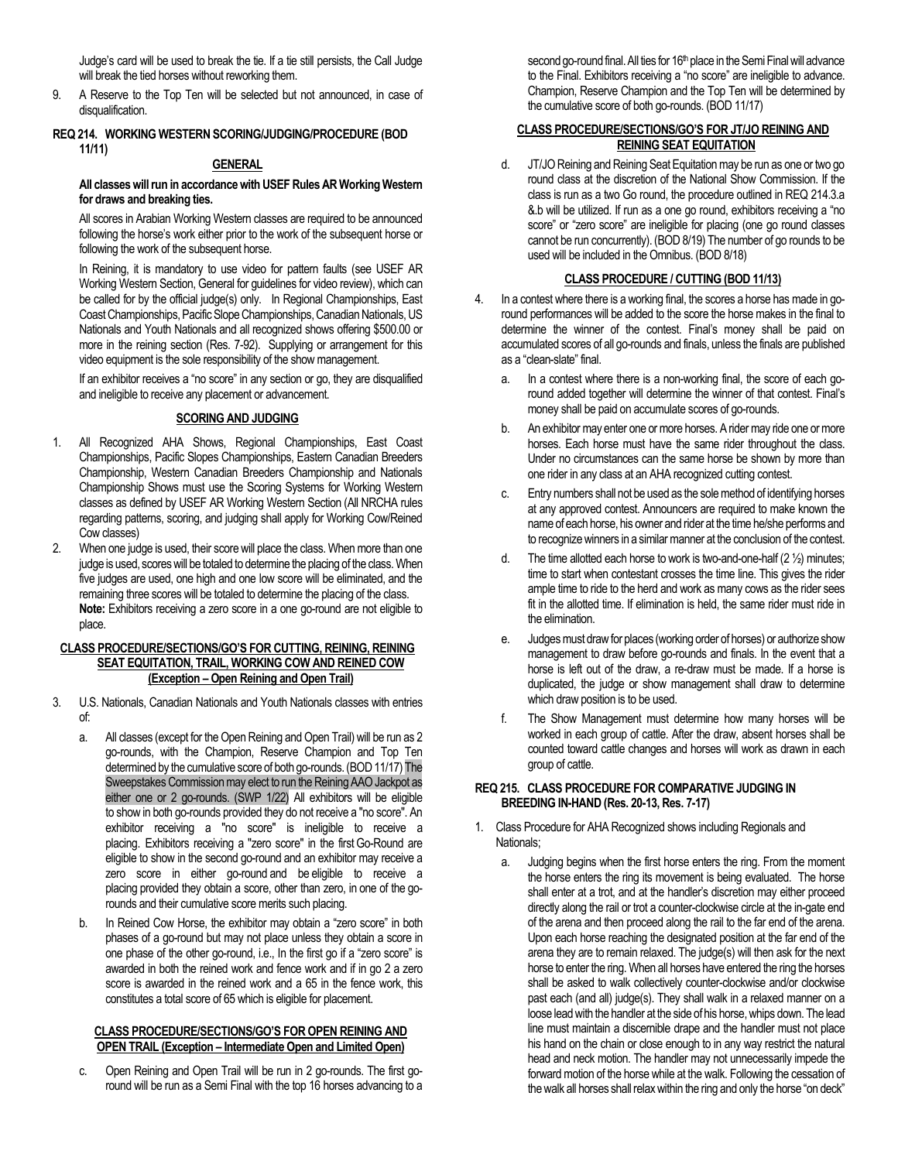Judge's card will be used to break the tie. If a tie still persists, the Call Judge will break the tied horses without reworking them.

9. A Reserve to the Top Ten will be selected but not announced, in case of disqualification.

# **REQ 214. WORKING WESTERN SCORING/JUDGING/PROCEDURE (BOD 11/11)**

#### **GENERAL**

#### **All classes will run in accordance with USEF Rules AR Working Western for draws and breaking ties.**

All scores in Arabian Working Western classes are required to be announced following the horse's work either prior to the work of the subsequent horse or following the work of the subsequent horse.

In Reining, it is mandatory to use video for pattern faults (see USEF AR Working Western Section, General for guidelines for video review), which can be called for by the official judge(s) only. In Regional Championships, East Coast Championships, Pacific Slope Championships, Canadian Nationals, US Nationals and Youth Nationals and all recognized shows offering \$500.00 or more in the reining section (Res. 7-92). Supplying or arrangement for this video equipment is the sole responsibility of the show management.

If an exhibitor receives a "no score" in any section or go, they are disqualified and ineligible to receive any placement or advancement.

# **SCORING AND JUDGING**

- 1. All Recognized AHA Shows, Regional Championships, East Coast Championships, Pacific Slopes Championships, Eastern Canadian Breeders Championship, Western Canadian Breeders Championship and Nationals Championship Shows must use the Scoring Systems for Working Western classes as defined by USEF AR Working Western Section (All NRCHA rules regarding patterns, scoring, and judging shall apply for Working Cow/Reined Cow classes)
- 2. When one judge is used, their score will place the class.When more than one judge is used, scores will be totaled to determine the placing of the class. When five judges are used, one high and one low score will be eliminated, and the remaining three scores will be totaled to determine the placing of the class. **Note:** Exhibitors receiving a zero score in a one go-round are not eligible to place.

#### **CLASS PROCEDURE/SECTIONS/GO'S FOR CUTTING, REINING, REINING SEAT EQUITATION, TRAIL, WORKING COW AND REINED COW (Exception – Open Reining and Open Trail)**

- 3. U.S. Nationals, Canadian Nationals and Youth Nationals classes with entries of:
	- a. All classes (except for the Open Reining and Open Trail) will be run as 2 go-rounds, with the Champion, Reserve Champion and Top Ten determined by the cumulative score of both go-rounds.(BOD 11/17) The Sweepstakes Commission may elect to run the Reining AAO Jackpot as either one or 2 go-rounds. (SWP 1/22) All exhibitors will be eligible to show in both go-rounds provided they do not receive a "no score". An exhibitor receiving a "no score" is ineligible to receive a placing. Exhibitors receiving a "zero score" in the first Go-Round are eligible to show in the second go-round and an exhibitor may receive a zero score in either go-round and be eligible to receive a placing provided they obtain a score, other than zero, in one of the gorounds and their cumulative score merits such placing.
	- b. In Reined Cow Horse, the exhibitor may obtain a "zero score" in both phases of a go-round but may not place unless they obtain a score in one phase of the other go-round, i.e., In the first go if a "zero score" is awarded in both the reined work and fence work and if in go 2 a zero score is awarded in the reined work and a 65 in the fence work, this constitutes a total score of 65 which is eligible for placement.

#### **CLASS PROCEDURE/SECTIONS/GO'S FOR OPEN REINING AND OPEN TRAIL (Exception – Intermediate Open and Limited Open)**

c. Open Reining and Open Trail will be run in 2 go-rounds. The first goround will be run as a Semi Final with the top 16 horses advancing to a second go-round final. All ties for 16<sup>th</sup> place in the Semi Final will advance to the Final. Exhibitors receiving a "no score" are ineligible to advance. Champion, Reserve Champion and the Top Ten will be determined by the cumulative score of both go-rounds. (BOD 11/17)

# **CLASS PROCEDURE/SECTIONS/GO'S FOR JT/JO REINING AND REINING SEAT EQUITATION**

d. JT/JO Reining and Reining Seat Equitation may be run as one or two go round class at the discretion of the National Show Commission. If the class is run as a two Go round, the procedure outlined in REQ 214.3.a &.b will be utilized. If run as a one go round, exhibitors receiving a "no score" or "zero score" are ineligible for placing (one go round classes cannot be run concurrently). (BOD 8/19) The number of go rounds to be used will be included in the Omnibus. (BOD 8/18)

# **CLASS PROCEDURE / CUTTING (BOD 11/13)**

- 4. In a contest where there is a working final, the scores a horse has made in goround performances will be added to the score the horse makes in the final to determine the winner of the contest. Final's money shall be paid on accumulated scores of all go-rounds and finals, unless the finals are published as a "clean-slate" final.
	- a. In a contest where there is a non-working final, the score of each goround added together will determine the winner of that contest. Final's money shall be paid on accumulate scores of go-rounds.
	- b. An exhibitor may enter one or more horses. A rider may ride one or more horses. Each horse must have the same rider throughout the class. Under no circumstances can the same horse be shown by more than one rider in any class at an AHA recognized cutting contest.
	- c. Entry numbers shall not be used as the sole method of identifying horses at any approved contest. Announcers are required to make known the name of each horse, his owner and rider at the time he/she performs and to recognize winners in a similar manner at the conclusion of the contest.
	- d. The time allotted each horse to work is two-and-one-half  $(2 \frac{1}{2})$  minutes; time to start when contestant crosses the time line. This gives the rider ample time to ride to the herd and work as many cows as the rider sees fit in the allotted time. If elimination is held, the same rider must ride in the elimination.
	- e. Judges must draw for places (working order of horses) or authorize show management to draw before go-rounds and finals. In the event that a horse is left out of the draw, a re-draw must be made. If a horse is duplicated, the judge or show management shall draw to determine which draw position is to be used.
	- The Show Management must determine how many horses will be worked in each group of cattle. After the draw, absent horses shall be counted toward cattle changes and horses will work as drawn in each group of cattle.

# **REQ 215. CLASS PROCEDURE FOR COMPARATIVE JUDGING IN BREEDING IN-HAND (Res. 20-13, Res. 7-17)**

- 1. Class Procedure for AHA Recognized shows including Regionals and Nationals;
	- a. Judging begins when the first horse enters the ring. From the moment the horse enters the ring its movement is being evaluated. The horse shall enter at a trot, and at the handler's discretion may either proceed directly along the rail or trot a counter-clockwise circle at the in-gate end of the arena and then proceed along the rail to the far end of the arena. Upon each horse reaching the designated position at the far end of the arena they are to remain relaxed. The judge(s) will then ask for the next horse to enter the ring. When all horses have entered the ring the horses shall be asked to walk collectively counter-clockwise and/or clockwise past each (and all) judge(s). They shall walk in a relaxed manner on a loose lead with the handler at the side of his horse, whips down. The lead line must maintain a discernible drape and the handler must not place his hand on the chain or close enough to in any way restrict the natural head and neck motion. The handler may not unnecessarily impede the forward motion of the horse while at the walk. Following the cessation of the walk all horses shall relax within the ring and only the horse "on deck"